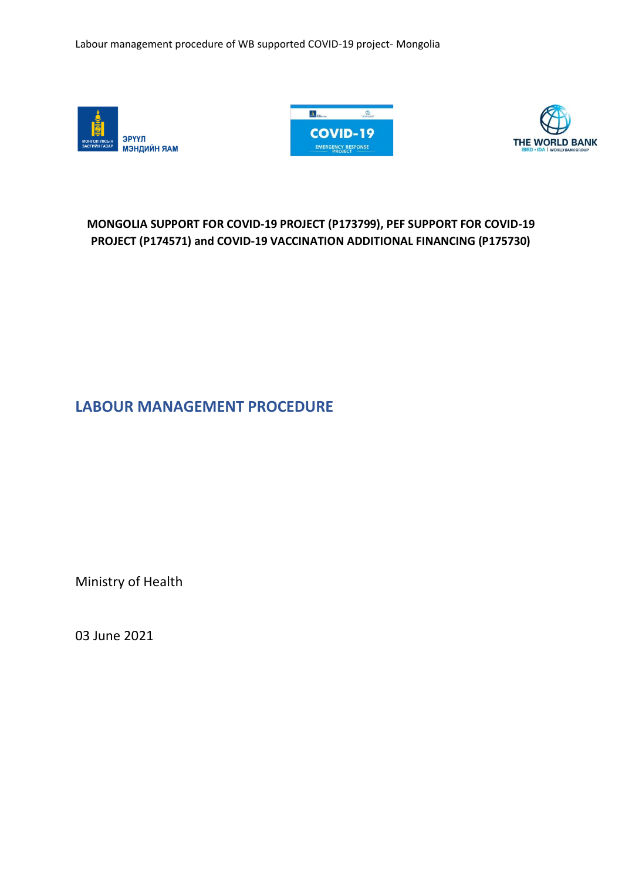





# **MONGOLIA SUPPORT FOR COVID-19 PROJECT (P173799), PEF SUPPORT FOR COVID-19 PROJECT (P174571) and COVID-19 VACCINATION ADDITIONAL FINANCING (P175730)**

<span id="page-0-0"></span>**LABOUR MANAGEMENT PROCEDURE**

Ministry of Health

03 June 2021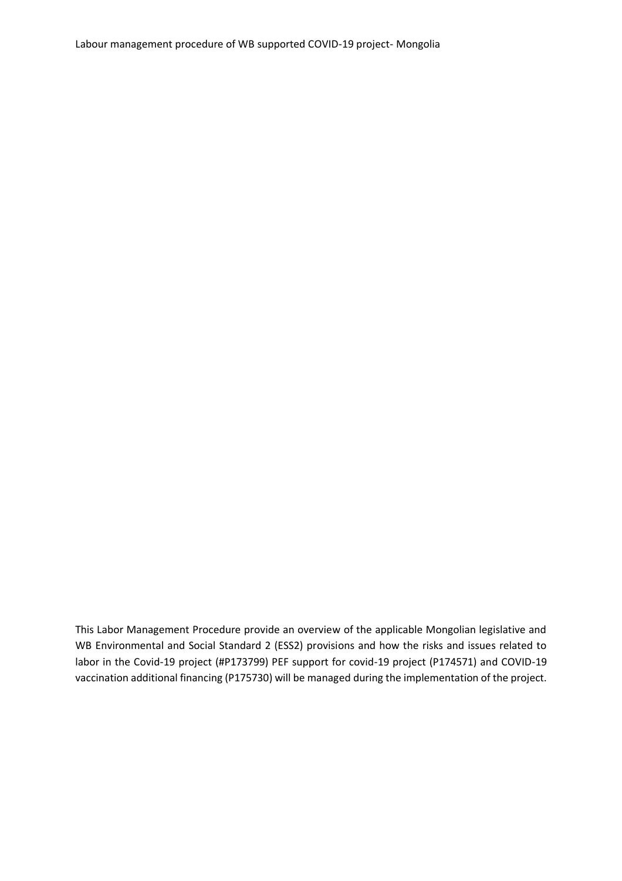This Labor Management Procedure provide an overview of the applicable Mongolian legislative and WB Environmental and Social Standard 2 (ESS2) provisions and how the risks and issues related to labor in the Covid-19 project (#P173799) PEF support for covid-19 project (P174571) and COVID-19 vaccination additional financing (P175730) will be managed during the implementation of the project.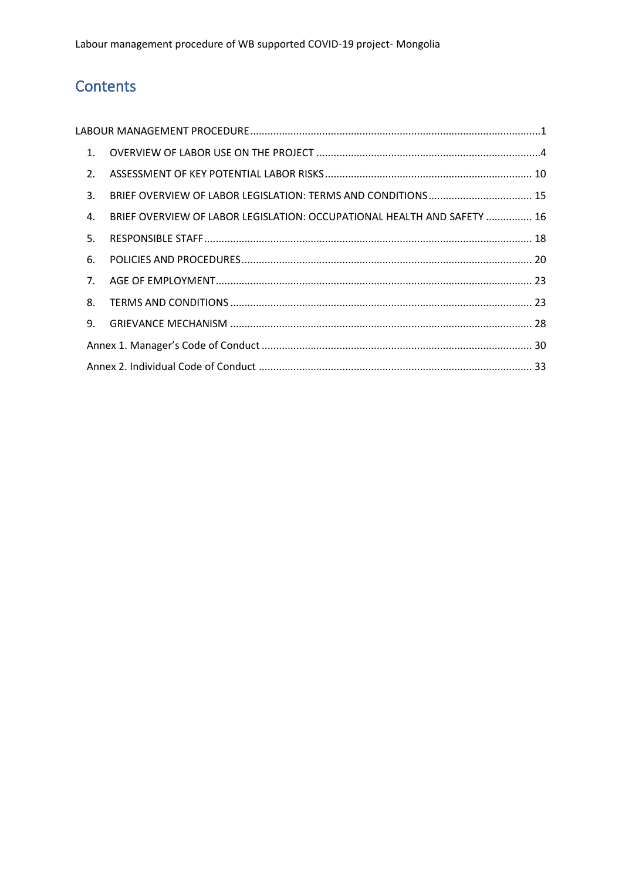# Contents

| 1.             |                                                                         |  |
|----------------|-------------------------------------------------------------------------|--|
| 2.             |                                                                         |  |
| 3.             |                                                                         |  |
| 4.             | BRIEF OVERVIEW OF LABOR LEGISLATION: OCCUPATIONAL HEALTH AND SAFETY  16 |  |
| 5.             |                                                                         |  |
| 6.             |                                                                         |  |
| 7 <sub>1</sub> |                                                                         |  |
| 8.             |                                                                         |  |
| 9.             |                                                                         |  |
|                |                                                                         |  |
|                |                                                                         |  |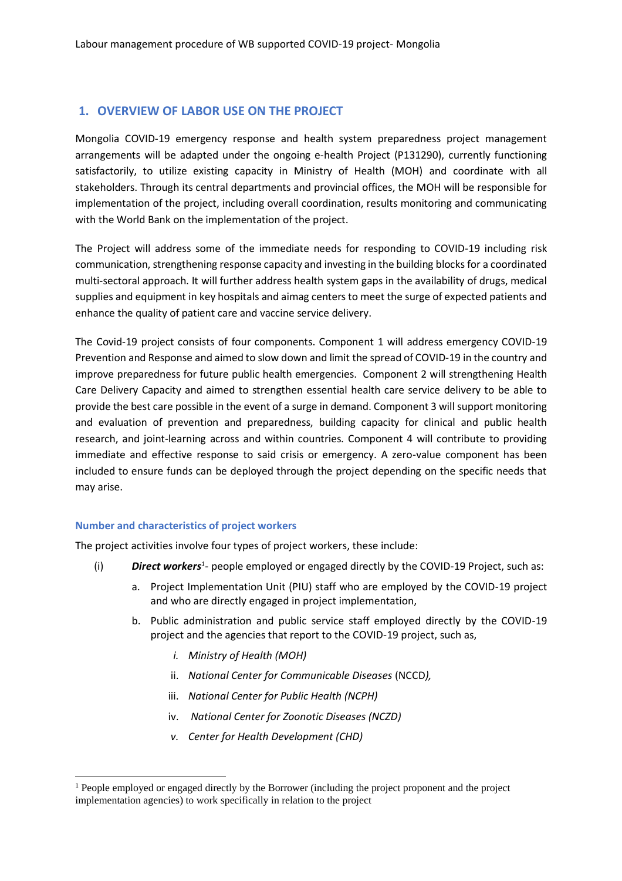# <span id="page-3-0"></span>**1. OVERVIEW OF LABOR USE ON THE PROJECT**

Mongolia COVID-19 emergency response and health system preparedness project management arrangements will be adapted under the ongoing e-health Project (P131290), currently functioning satisfactorily, to utilize existing capacity in Ministry of Health (MOH) and coordinate with all stakeholders. Through its central departments and provincial offices, the MOH will be responsible for implementation of the project, including overall coordination, results monitoring and communicating with the World Bank on the implementation of the project.

The Project will address some of the immediate needs for responding to COVID-19 including risk communication, strengthening response capacity and investing in the building blocks for a coordinated multi-sectoral approach. It will further address health system gaps in the availability of drugs, medical supplies and equipment in key hospitals and aimag centers to meet the surge of expected patients and enhance the quality of patient care and vaccine service delivery.

The Covid-19 project consists of four components. Component 1 will address emergency COVID-19 Prevention and Response and aimed to slow down and limit the spread of COVID-19 in the country and improve preparedness for future public health emergencies. Component 2 will strengthening Health Care Delivery Capacity and aimed to strengthen essential health care service delivery to be able to provide the best care possible in the event of a surge in demand. Component 3 will support monitoring and evaluation of prevention and preparedness, building capacity for clinical and public health research, and joint-learning across and within countries. Component 4 will contribute to providing immediate and effective response to said crisis or emergency. A zero-value component has been included to ensure funds can be deployed through the project depending on the specific needs that may arise.

### **Number and characteristics of project workers**

The project activities involve four types of project workers, these include:

- (i) **Direct workers**<sup>1</sup>- people employed or engaged directly by the COVID-19 Project, such as:
	- a. Project Implementation Unit (PIU) staff who are employed by the COVID-19 project and who are directly engaged in project implementation,
	- b. Public administration and public service staff employed directly by the COVID-19 project and the agencies that report to the COVID-19 project, such as,
		- *i. Ministry of Health (MOH)*
		- ii. *National Center for Communicable Diseases* (NCCD*),*
		- iii. *National Center for Public Health (NCPH)*
		- iv. *National Center for Zoonotic Diseases (NCZD)*
		- *v. Center for Health Development (CHD)*

<sup>&</sup>lt;sup>1</sup> People employed or engaged directly by the Borrower (including the project proponent and the project implementation agencies) to work specifically in relation to the project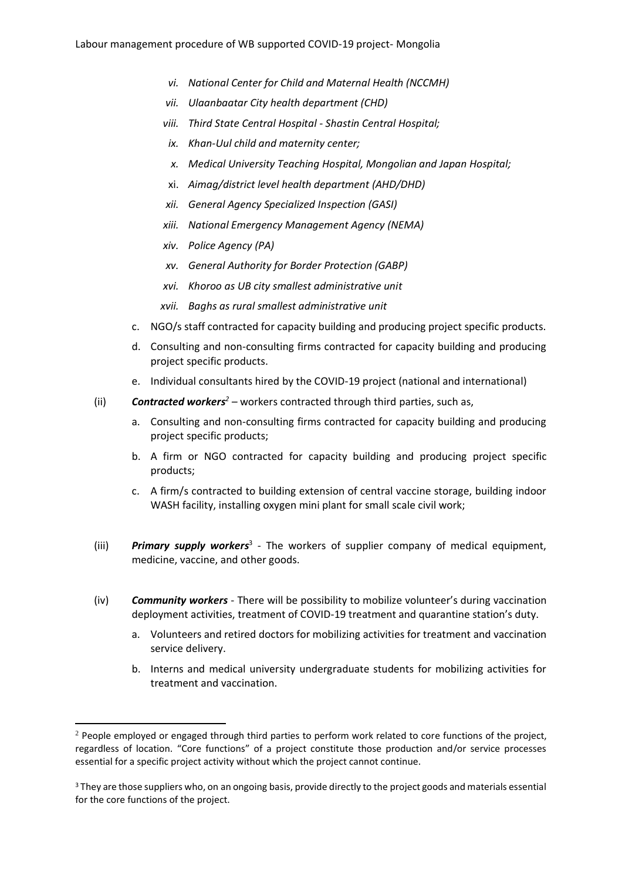- *vi. National Center for Child and Maternal Health (NCCMH)*
- *vii. Ulaanbaatar City health department (CHD)*
- *viii. Third State Central Hospital - Shastin Central Hospital;*
- *ix. Khan-Uul child and maternity center;*
- *x. Medical University Teaching Hospital, Mongolian and Japan Hospital;*
- xi. *Aimag/district level health department (AHD/DHD)*
- *xii. General Agency Specialized Inspection (GASI)*
- *xiii. National Emergency Management Agency (NEMA)*
- *xiv. Police Agency (PA)*
- *xv. General Authority for Border Protection (GABP)*
- *xvi. Khoroo as UB city smallest administrative unit*
- *xvii. Baghs as rural smallest administrative unit*
- c. NGO/s staff contracted for capacity building and producing project specific products.
- d. Consulting and non-consulting firms contracted for capacity building and producing project specific products.
- e. Individual consultants hired by the COVID-19 project (national and international)
- (ii) *Contracted workers<sup>2</sup> –* workers contracted through third parties, such as,
	- a. Consulting and non-consulting firms contracted for capacity building and producing project specific products;
	- b. A firm or NGO contracted for capacity building and producing project specific products;
	- c. A firm/s contracted to building extension of central vaccine storage, building indoor WASH facility, installing oxygen mini plant for small scale civil work;
- (iii) **Primary supply workers**<sup>3</sup> The workers of supplier company of medical equipment, medicine, vaccine, and other goods.
- (iv) *Community workers* There will be possibility to mobilize volunteer's during vaccination deployment activities, treatment of COVID-19 treatment and quarantine station's duty.
	- a. Volunteers and retired doctors for mobilizing activities for treatment and vaccination service delivery.
	- b. Interns and medical university undergraduate students for mobilizing activities for treatment and vaccination.

<sup>&</sup>lt;sup>2</sup> People employed or engaged through third parties to perform work related to core functions of the project, regardless of location. "Core functions" of a project constitute those production and/or service processes essential for a specific project activity without which the project cannot continue.

<sup>3</sup> They are those suppliers who, on an ongoing basis, provide directly to the project goods and materials essential for the core functions of the project.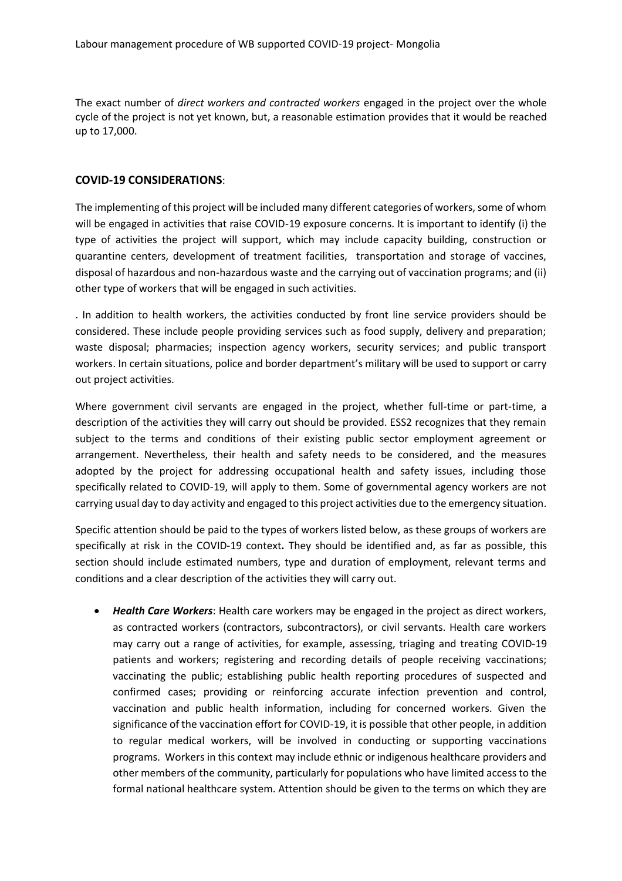The exact number of *direct workers and contracted workers* engaged in the project over the whole cycle of the project is not yet known, but, a reasonable estimation provides that it would be reached up to 17,000.

### **COVID-19 CONSIDERATIONS**:

The implementing of this project will be included many different categories of workers, some of whom will be engaged in activities that raise COVID-19 exposure concerns. It is important to identify (i) the type of activities the project will support, which may include capacity building, construction or quarantine centers, development of treatment facilities, transportation and storage of vaccines, disposal of hazardous and non-hazardous waste and the carrying out of vaccination programs; and (ii) other type of workers that will be engaged in such activities.

. In addition to health workers, the activities conducted by front line service providers should be considered. These include people providing services such as food supply, delivery and preparation; waste disposal; pharmacies; inspection agency workers, security services; and public transport workers. In certain situations, police and border department's military will be used to support or carry out project activities.

Where government civil servants are engaged in the project, whether full-time or part-time, a description of the activities they will carry out should be provided. ESS2 recognizes that they remain subject to the terms and conditions of their existing public sector employment agreement or arrangement. Nevertheless, their health and safety needs to be considered, and the measures adopted by the project for addressing occupational health and safety issues, including those specifically related to COVID-19, will apply to them. Some of governmental agency workers are not carrying usual day to day activity and engaged to this project activities due to the emergency situation.

Specific attention should be paid to the types of workers listed below, as these groups of workers are specifically at risk in the COVID-19 context**.** They should be identified and, as far as possible, this section should include estimated numbers, type and duration of employment, relevant terms and conditions and a clear description of the activities they will carry out.

• *Health Care Workers*: Health care workers may be engaged in the project as direct workers, as contracted workers (contractors, subcontractors), or civil servants. Health care workers may carry out a range of activities, for example, assessing, triaging and treating COVID-19 patients and workers; registering and recording details of people receiving vaccinations; vaccinating the public; establishing public health reporting procedures of suspected and confirmed cases; providing or reinforcing accurate infection prevention and control, vaccination and public health information, including for concerned workers. Given the significance of the vaccination effort for COVID-19, it is possible that other people, in addition to regular medical workers, will be involved in conducting or supporting vaccinations programs. Workers in this context may include ethnic or indigenous healthcare providers and other members of the community, particularly for populations who have limited access to the formal national healthcare system. Attention should be given to the terms on which they are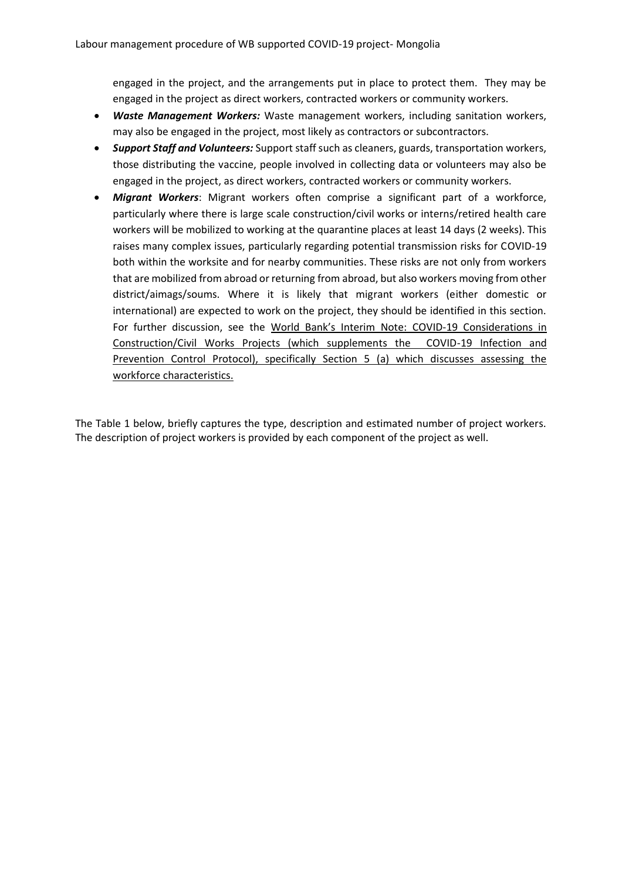engaged in the project, and the arrangements put in place to protect them. They may be engaged in the project as direct workers, contracted workers or community workers.

- *Waste Management Workers:* Waste management workers, including sanitation workers, may also be engaged in the project, most likely as contractors or subcontractors.
- *Support Staff and Volunteers:* Support staff such as cleaners, guards, transportation workers, those distributing the vaccine, people involved in collecting data or volunteers may also be engaged in the project, as direct workers, contracted workers or community workers.
- *Migrant Workers*: Migrant workers often comprise a significant part of a workforce, particularly where there is large scale construction/civil works or interns/retired health care workers will be mobilized to working at the quarantine places at least 14 days (2 weeks). This raises many complex issues, particularly regarding potential transmission risks for COVID-19 both within the worksite and for nearby communities. These risks are not only from workers that are mobilized from abroad or returning from abroad, but also workers moving from other district/aimags/soums. Where it is likely that migrant workers (either domestic or international) are expected to work on the project, they should be identified in this section. For further discussion, see the [World Bank's Interim Note: COVID](https://worldbankgroup.sharepoint.com/sites/wbunits/opcs/Knowledge%20Base/ESF%20Safeguards%20Interim%20Note%20Construction%20Civil%20Works%20COVID.pdf)-19 Considerations in [Construction/Civil Works Projects \(which supplements the COVID-19 Infection and](https://worldbankgroup.sharepoint.com/sites/wbunits/opcs/Knowledge%20Base/ESF%20Safeguards%20Interim%20Note%20Construction%20Civil%20Works%20COVID.pdf)  [Prevention Control Protocol\),](https://worldbankgroup.sharepoint.com/sites/wbunits/opcs/Knowledge%20Base/ESF%20Safeguards%20Interim%20Note%20Construction%20Civil%20Works%20COVID.pdf) specifically Section 5 (a) which discusses assessing the workforce characteristics.

The Table 1 below, briefly captures the type, description and estimated number of project workers. The description of project workers is provided by each component of the project as well.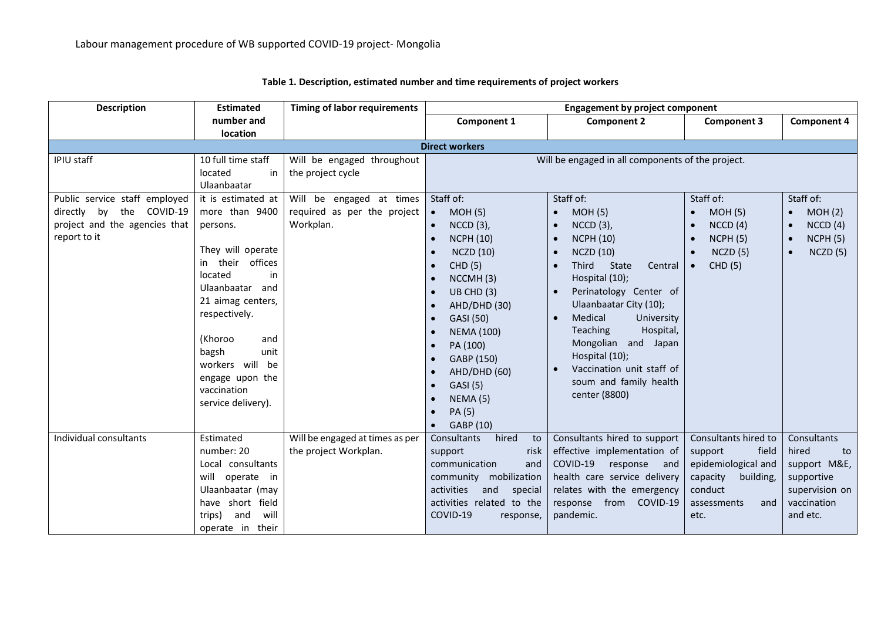| <b>Description</b>            | <b>Estimated</b>             | <b>Timing of labor requirements</b> | <b>Engagement by project component</b> |                                                   |                       |                      |
|-------------------------------|------------------------------|-------------------------------------|----------------------------------------|---------------------------------------------------|-----------------------|----------------------|
|                               | number and                   |                                     | Component 1                            | <b>Component 2</b>                                | <b>Component 3</b>    | <b>Component 4</b>   |
|                               | location                     |                                     |                                        |                                                   |                       |                      |
|                               |                              |                                     | <b>Direct workers</b>                  |                                                   |                       |                      |
| IPIU staff                    | 10 full time staff           | Will be engaged throughout          |                                        | Will be engaged in all components of the project. |                       |                      |
|                               | located<br>in<br>Ulaanbaatar | the project cycle                   |                                        |                                                   |                       |                      |
| Public service staff employed | it is estimated at           | Will be engaged at times            | Staff of:                              | Staff of:                                         | Staff of:             | Staff of:            |
| directly by the COVID-19      | more than 9400               | required as per the project         | MOH(5)                                 | <b>MOH (5)</b>                                    | MOH(5)<br>$\bullet$   | MOH(2)<br>$\bullet$  |
| project and the agencies that | persons.                     | Workplan.                           | $NCCD(3)$ ,<br>$\bullet$               | <b>NCCD</b> (3),                                  | NCCD(4)<br>$\bullet$  | NCCD(4)<br>$\bullet$ |
| report to it                  |                              |                                     | <b>NCPH (10)</b><br>$\bullet$          | <b>NCPH (10)</b>                                  | NCPH(5)<br>$\bullet$  | NCPH(5)<br>$\bullet$ |
|                               | They will operate            |                                     | <b>NCZD (10)</b><br>$\bullet$          | <b>NCZD (10)</b>                                  | NCZD(5)               | NCZD(5)<br>$\bullet$ |
|                               | their offices<br>in          |                                     | <b>CHD</b> (5)<br>$\bullet$            | <b>State</b><br><b>Third</b><br>Central           | CHD(5)<br>$\bullet$   |                      |
|                               | located<br>in                |                                     | NCCMH(3)<br>$\bullet$                  | Hospital (10);                                    |                       |                      |
|                               | Ulaanbaatar and              |                                     | UB CHD (3)<br>$\bullet$                | Perinatology Center of                            |                       |                      |
|                               | 21 aimag centers,            |                                     | AHD/DHD (30)<br>$\bullet$              | Ulaanbaatar City (10);                            |                       |                      |
|                               | respectively.                |                                     | GASI (50)<br>$\bullet$                 | Medical<br>University                             |                       |                      |
|                               |                              |                                     | <b>NEMA (100)</b><br>$\bullet$         | Teaching<br>Hospital,                             |                       |                      |
|                               | (Khoroo<br>and               |                                     | PA (100)<br>$\bullet$                  | Mongolian and Japan                               |                       |                      |
|                               | bagsh<br>unit                |                                     | GABP (150)<br>$\bullet$                | Hospital (10);                                    |                       |                      |
|                               | workers will be              |                                     | AHD/DHD (60)<br>$\bullet$              | Vaccination unit staff of                         |                       |                      |
|                               | engage upon the              |                                     | <b>GASI</b> (5)<br>$\bullet$           | soum and family health                            |                       |                      |
|                               | vaccination                  |                                     | NEMA (5)<br>$\bullet$                  | center (8800)                                     |                       |                      |
|                               | service delivery).           |                                     | PA (5)<br>$\bullet$                    |                                                   |                       |                      |
|                               |                              |                                     | GABP (10)                              |                                                   |                       |                      |
| Individual consultants        | Estimated                    | Will be engaged at times as per     | Consultants<br>hired<br>to             | Consultants hired to support                      | Consultants hired to  | Consultants          |
|                               | number: 20                   | the project Workplan.               | support<br>risk                        | effective implementation of                       | support<br>field      | hired<br>to          |
|                               | Local consultants            |                                     | communication<br>and                   | COVID-19<br>response<br>and                       | epidemiological and   | support M&E,         |
|                               | will<br>operate in           |                                     | community mobilization                 | health care service delivery                      | capacity<br>building, | supportive           |
|                               | Ulaanbaatar (may             |                                     | activities<br>and<br>special           | relates with the emergency                        | conduct               | supervision on       |
|                               | have short field             |                                     | activities related to the              | response from COVID-19                            | assessments<br>and    | vaccination          |
|                               | and<br>will<br>trips)        |                                     | COVID-19<br>response,                  | pandemic.                                         | etc.                  | and etc.             |
|                               | operate in<br>their          |                                     |                                        |                                                   |                       |                      |

**Table 1. Description, estimated number and time requirements of project workers**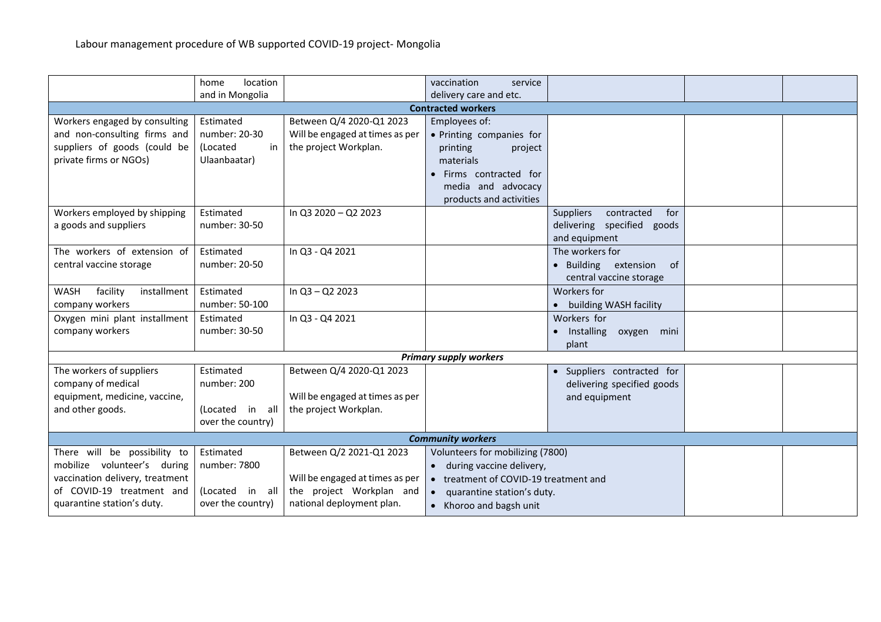|                                 | location<br>home      |                                 | vaccination<br>service                |                                |  |  |
|---------------------------------|-----------------------|---------------------------------|---------------------------------------|--------------------------------|--|--|
|                                 | and in Mongolia       |                                 | delivery care and etc.                |                                |  |  |
|                                 |                       |                                 | <b>Contracted workers</b>             |                                |  |  |
| Workers engaged by consulting   | Estimated             | Between Q/4 2020-Q1 2023        | Employees of:                         |                                |  |  |
| and non-consulting firms and    | number: 20-30         | Will be engaged at times as per | • Printing companies for              |                                |  |  |
| suppliers of goods (could be    | <i>(Located</i><br>in | the project Workplan.           | printing<br>project                   |                                |  |  |
| private firms or NGOs)          | Ulaanbaatar)          |                                 | materials                             |                                |  |  |
|                                 |                       |                                 | Firms contracted for                  |                                |  |  |
|                                 |                       |                                 | media and advocacy                    |                                |  |  |
|                                 |                       |                                 | products and activities               |                                |  |  |
| Workers employed by shipping    | Estimated             | In Q3 2020 - Q2 2023            |                                       | Suppliers<br>contracted<br>for |  |  |
| a goods and suppliers           | number: 30-50         |                                 |                                       | delivering specified goods     |  |  |
|                                 |                       |                                 |                                       | and equipment                  |  |  |
| The workers of extension of     | Estimated             | In Q3 - Q4 2021                 |                                       | The workers for                |  |  |
| central vaccine storage         | number: 20-50         |                                 |                                       | • Building<br>extension<br>of  |  |  |
|                                 |                       |                                 |                                       | central vaccine storage        |  |  |
| facility<br>WASH<br>installment | Estimated             | In Q3 - Q2 2023                 |                                       | Workers for                    |  |  |
| company workers                 | number: 50-100        |                                 |                                       | • building WASH facility       |  |  |
| Oxygen mini plant installment   | Estimated             | In Q3 - Q4 2021                 |                                       | Workers for                    |  |  |
| company workers                 | number: 30-50         |                                 |                                       | · Installing<br>oxygen mini    |  |  |
|                                 |                       |                                 |                                       | plant                          |  |  |
|                                 |                       |                                 | <b>Primary supply workers</b>         |                                |  |  |
| The workers of suppliers        | Estimated             | Between Q/4 2020-Q1 2023        |                                       | · Suppliers contracted for     |  |  |
| company of medical              | number: 200           |                                 |                                       | delivering specified goods     |  |  |
| equipment, medicine, vaccine,   |                       | Will be engaged at times as per |                                       | and equipment                  |  |  |
| and other goods.                | (Located in all       | the project Workplan.           |                                       |                                |  |  |
|                                 | over the country)     |                                 |                                       |                                |  |  |
| <b>Community workers</b>        |                       |                                 |                                       |                                |  |  |
| There will be possibility to    | Estimated             | Between Q/2 2021-Q1 2023        | Volunteers for mobilizing (7800)      |                                |  |  |
| mobilize volunteer's during     | number: 7800          |                                 | • during vaccine delivery,            |                                |  |  |
| vaccination delivery, treatment |                       | Will be engaged at times as per | • treatment of COVID-19 treatment and |                                |  |  |
| of COVID-19 treatment and       | (Located in all       | the project Workplan and        | quarantine station's duty.            |                                |  |  |
| quarantine station's duty.      | over the country)     | national deployment plan.       | • Khoroo and bagsh unit               |                                |  |  |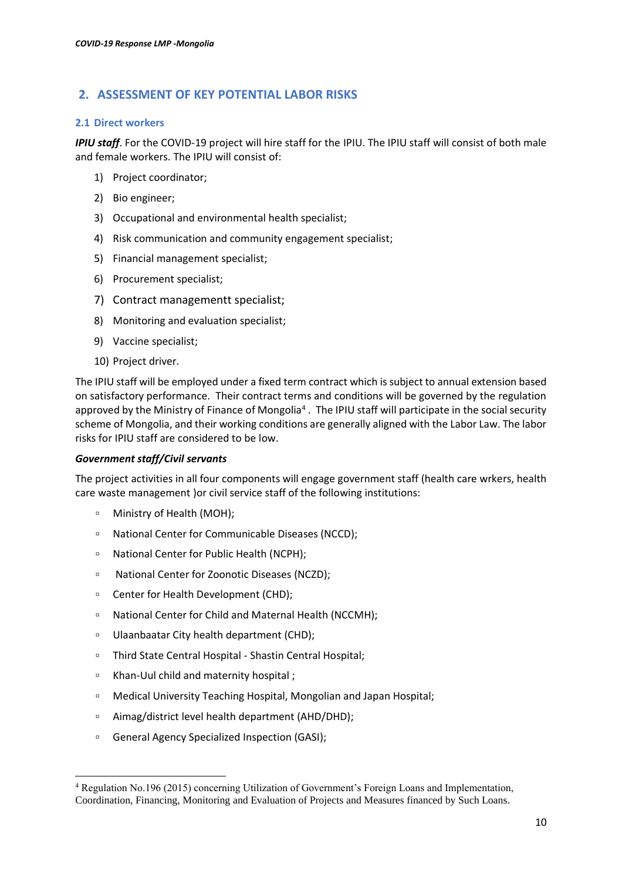# <span id="page-9-0"></span>**2. ASSESSMENT OF KEY POTENTIAL LABOR RISKS**

#### **2.1 Direct workers**

*IPIU staff*. For the COVID-19 project will hire staff for the IPIU. The IPIU staff will consist of both male and female workers. The IPIU will consist of:

- 1) Project coordinator;
- 2) Bio engineer;
- 3) Occupational and environmental health specialist;
- 4) Risk communication and community engagement specialist;
- 5) Financial management specialist;
- 6) Procurement specialist;
- 7) Contract managementt specialist;
- 8) Monitoring and evaluation specialist;
- 9) Vaccine specialist;
- 10) Project driver.

The IPIU staff will be employed under a fixed term contract which is subject to annual extension based on satisfactory performance. Their contract terms and conditions will be governed by the regulation approved by the Ministry of Finance of Mongolia<sup>4</sup>. The IPIU staff will participate in the social security scheme of Mongolia, and their working conditions are generally aligned with the Labor Law. The labor risks for IPIU staff are considered to be low.

### *Government staff/Civil servants*

The project activities in all four components will engage government staff (health care wrkers, health care waste management )or civil service staff of the following institutions:

- Ministry of Health (MOH);
- National Center for Communicable Diseases (NCCD);
- National Center for Public Health (NCPH);
- □ National Center for Zoonotic Diseases (NCZD);
- Center for Health Development (CHD);
- National Center for Child and Maternal Health (NCCMH);
- Ulaanbaatar City health department (CHD);
- Third State Central Hospital Shastin Central Hospital;
- Khan-Uul child and maternity hospital ;
- □ Medical University Teaching Hospital, Mongolian and Japan Hospital;
- Aimag/district level health department (AHD/DHD);
- □ General Agency Specialized Inspection (GASI);

<sup>4</sup> Regulation No.196 (2015) concerning Utilization of Government's Foreign Loans and Implementation, Coordination, Financing, Monitoring and Evaluation of Projects and Measures financed by Such Loans.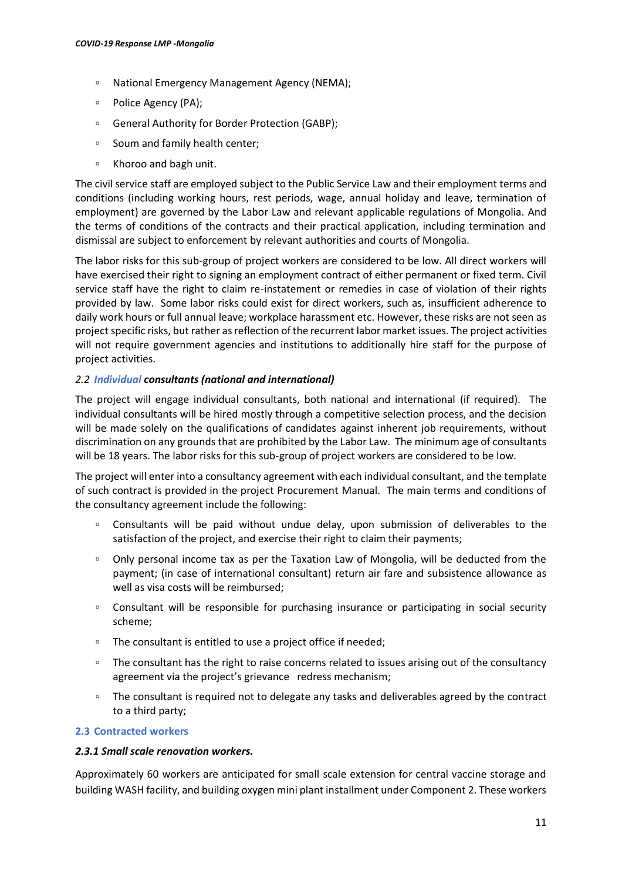- National Emergency Management Agency (NEMA);
- □ Police Agency (PA);
- General Authority for Border Protection (GABP);
- Soum and family health center;
- Khoroo and bagh unit.

The civil service staff are employed subject to the Public Service Law and their employment terms and conditions (including working hours, rest periods, wage, annual holiday and leave, termination of employment) are governed by the Labor Law and relevant applicable regulations of Mongolia. And the terms of conditions of the contracts and their practical application, including termination and dismissal are subject to enforcement by relevant authorities and courts of Mongolia.

The labor risks for this sub-group of project workers are considered to be low. All direct workers will have exercised their right to signing an employment contract of either permanent or fixed term. Civil service staff have the right to claim re-instatement or remedies in case of violation of their rights provided by law. Some labor risks could exist for direct workers, such as, insufficient adherence to daily work hours or full annual leave; workplace harassment etc. However, these risks are not seen as project specific risks, but rather as reflection of the recurrent labor market issues. The project activities will not require government agencies and institutions to additionally hire staff for the purpose of project activities.

### *2.2 Individual consultants (national and international)*

The project will engage individual consultants, both national and international (if required). The individual consultants will be hired mostly through a competitive selection process, and the decision will be made solely on the qualifications of candidates against inherent job requirements, without discrimination on any grounds that are prohibited by the Labor Law. The minimum age of consultants will be 18 years. The labor risks for this sub-group of project workers are considered to be low.

The project will enter into a consultancy agreement with each individual consultant, and the template of such contract is provided in the project Procurement Manual. The main terms and conditions of the consultancy agreement include the following:

- Consultants will be paid without undue delay, upon submission of deliverables to the satisfaction of the project, and exercise their right to claim their payments;
- □ Only personal income tax as per the Taxation Law of Mongolia, will be deducted from the payment; (in case of international consultant) return air fare and subsistence allowance as well as visa costs will be reimbursed;
- □ Consultant will be responsible for purchasing insurance or participating in social security scheme;
- The consultant is entitled to use a project office if needed;
- The consultant has the right to raise concerns related to issues arising out of the consultancy agreement via the project's grievance redress mechanism;
- The consultant is required not to delegate any tasks and deliverables agreed by the contract to a third party;

### **2.3 Contracted workers**

### *2.3.1 Small scale renovation workers.*

Approximately 60 workers are anticipated for small scale extension for central vaccine storage and building WASH facility, and building oxygen mini plant installment under Component 2. These workers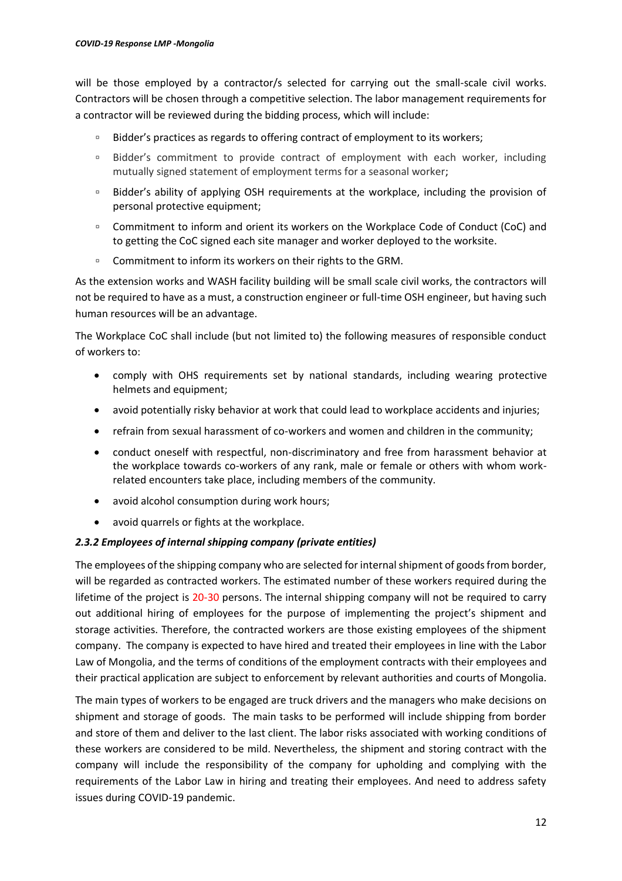will be those employed by a contractor/s selected for carrying out the small-scale civil works. Contractors will be chosen through a competitive selection. The labor management requirements for a contractor will be reviewed during the bidding process, which will include:

- Bidder's practices as regards to offering contract of employment to its workers;
- Bidder's commitment to provide contract of employment with each worker, including mutually signed statement of employment terms for a seasonal worker;
- □ Bidder's ability of applying OSH requirements at the workplace, including the provision of personal protective equipment;
- Commitment to inform and orient its workers on the Workplace Code of Conduct (CoC) and to getting the CoC signed each site manager and worker deployed to the worksite.
- Commitment to inform its workers on their rights to the GRM.

As the extension works and WASH facility building will be small scale civil works, the contractors will not be required to have as a must, a construction engineer or full-time OSH engineer, but having such human resources will be an advantage.

The Workplace CoC shall include (but not limited to) the following measures of responsible conduct of workers to:

- comply with OHS requirements set by national standards, including wearing protective helmets and equipment;
- avoid potentially risky behavior at work that could lead to workplace accidents and injuries;
- refrain from sexual harassment of co-workers and women and children in the community;
- conduct oneself with respectful, non-discriminatory and free from harassment behavior at the workplace towards co-workers of any rank, male or female or others with whom workrelated encounters take place, including members of the community.
- avoid alcohol consumption during work hours;
- avoid quarrels or fights at the workplace.

# *2.3.2 Employees of internal shipping company (private entities)*

The employees of the shipping company who are selected for internal shipment of goods from border, will be regarded as contracted workers. The estimated number of these workers required during the lifetime of the project is 20-30 persons. The internal shipping company will not be required to carry out additional hiring of employees for the purpose of implementing the project's shipment and storage activities. Therefore, the contracted workers are those existing employees of the shipment company. The company is expected to have hired and treated their employees in line with the Labor Law of Mongolia, and the terms of conditions of the employment contracts with their employees and their practical application are subject to enforcement by relevant authorities and courts of Mongolia.

The main types of workers to be engaged are truck drivers and the managers who make decisions on shipment and storage of goods. The main tasks to be performed will include shipping from border and store of them and deliver to the last client. The labor risks associated with working conditions of these workers are considered to be mild. Nevertheless, the shipment and storing contract with the company will include the responsibility of the company for upholding and complying with the requirements of the Labor Law in hiring and treating their employees. And need to address safety issues during COVID-19 pandemic.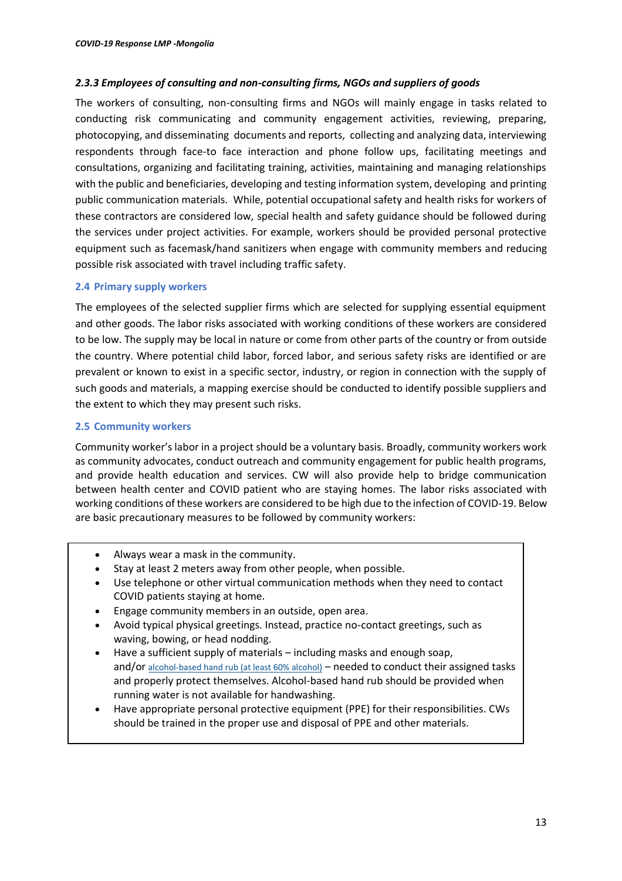### *2.3.3 Employees of consulting and non-consulting firms, NGOs and suppliers of goods*

The workers of consulting, non-consulting firms and NGOs will mainly engage in tasks related to conducting risk communicating and community engagement activities, reviewing, preparing, photocopying, and disseminating documents and reports, collecting and analyzing data, interviewing respondents through face-to face interaction and phone follow ups, facilitating meetings and consultations, organizing and facilitating training, activities, maintaining and managing relationships with the public and beneficiaries, developing and testing information system, developing and printing public communication materials. While, potential occupational safety and health risks for workers of these contractors are considered low, special health and safety guidance should be followed during the services under project activities. For example, workers should be provided personal protective equipment such as facemask/hand sanitizers when engage with community members and reducing possible risk associated with travel including traffic safety.

### **2.4 Primary supply workers**

The employees of the selected supplier firms which are selected for supplying essential equipment and other goods. The labor risks associated with working conditions of these workers are considered to be low. The supply may be local in nature or come from other parts of the country or from outside the country. Where potential child labor, forced labor, and serious safety risks are identified or are prevalent or known to exist in a specific sector, industry, or region in connection with the supply of such goods and materials, a mapping exercise should be conducted to identify possible suppliers and the extent to which they may present such risks.

### **2.5 Community workers**

Community worker's labor in a project should be a voluntary basis. Broadly, community workers work as community advocates, conduct outreach and community engagement for public health programs, and provide health education and services. CW will also provide help to bridge communication between health center and COVID patient who are staying homes. The labor risks associated with working conditions of these workers are considered to be high due to the infection of COVID-19. Below are basic precautionary measures to be followed by community workers:

- Always wear a mask in the community.
- Stay at least 2 meters away from other people, when possible.
- Use telephone or other virtual communication methods when they need to contact COVID patients staying at home.
- Engage community members in an outside, open area.
- Avoid typical physical greetings. Instead, practice no-contact greetings, such as waving, bowing, or head nodding.
- Have a sufficient supply of materials including masks and enough soap, and/or [alcohol-based hand rub \(at least 60% alcohol\)](https://www.cdc.gov/coronavirus/2019-ncov/hcp/hand-hygiene.html) – needed to conduct their assigned tasks and properly protect themselves. Alcohol-based hand rub should be provided when running water is not available for handwashing.
- Have appropriate personal protective equipment (PPE) for their responsibilities. CWs should be trained in the proper use and disposal of PPE and other materials.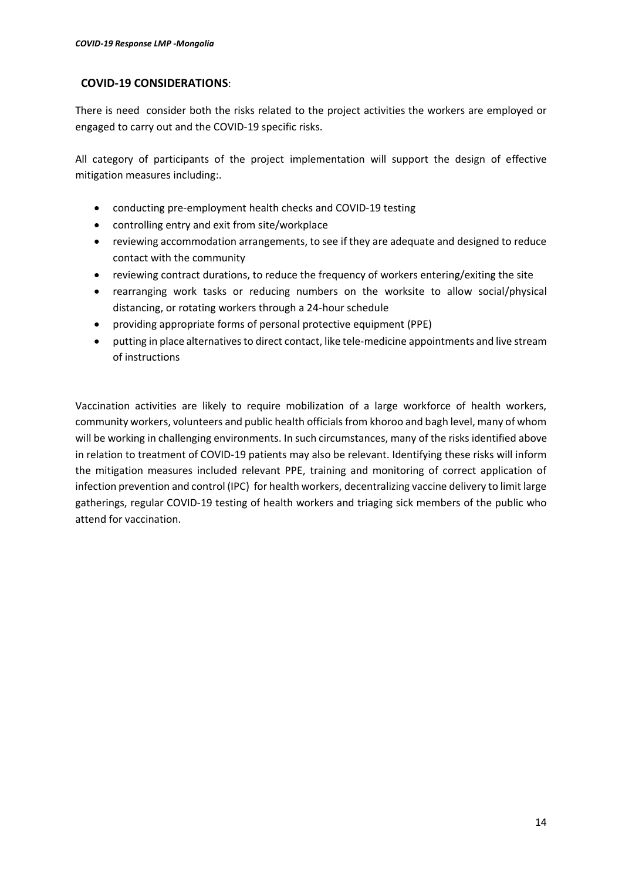# **COVID-19 CONSIDERATIONS**:

There is need consider both the risks related to the project activities the workers are employed or engaged to carry out and the COVID-19 specific risks.

All category of participants of the project implementation will support the design of effective mitigation measures including:.

- conducting pre-employment health checks and COVID-19 testing
- controlling entry and exit from site/workplace
- reviewing accommodation arrangements, to see if they are adequate and designed to reduce contact with the community
- reviewing contract durations, to reduce the frequency of workers entering/exiting the site
- rearranging work tasks or reducing numbers on the worksite to allow social/physical distancing, or rotating workers through a 24-hour schedule
- providing appropriate forms of personal protective equipment (PPE)
- putting in place alternatives to direct contact, like tele-medicine appointments and live stream of instructions

Vaccination activities are likely to require mobilization of a large workforce of health workers, community workers, volunteers and public health officials from khoroo and bagh level, many of whom will be working in challenging environments. In such circumstances, many of the risks identified above in relation to treatment of COVID-19 patients may also be relevant. Identifying these risks will inform the mitigation measures included relevant PPE, training and monitoring of correct application of infection prevention and control (IPC) for health workers, decentralizing vaccine delivery to limit large gatherings, regular COVID-19 testing of health workers and triaging sick members of the public who attend for vaccination.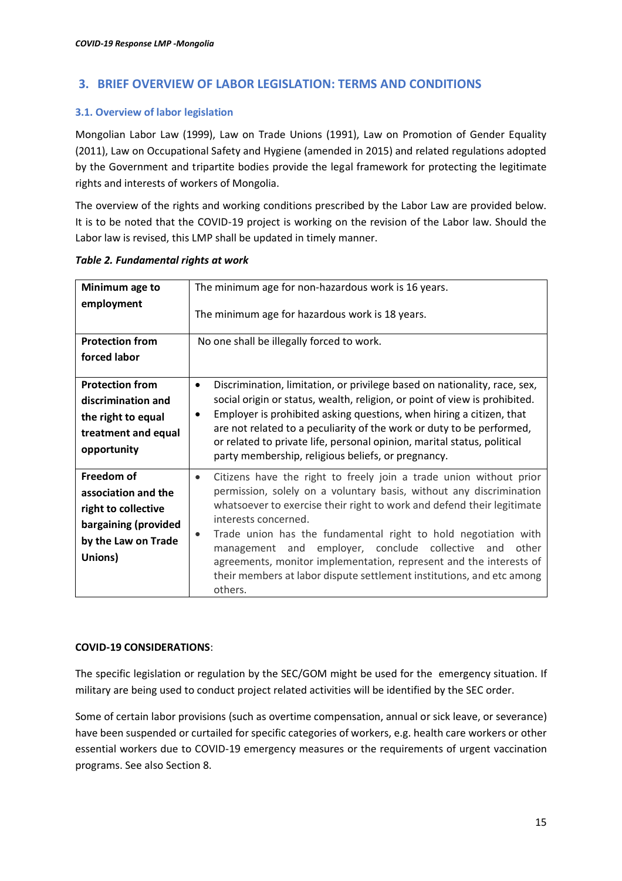# <span id="page-14-0"></span>**3. BRIEF OVERVIEW OF LABOR LEGISLATION: TERMS AND CONDITIONS**

# **3.1. Overview of labor legislation**

Mongolian Labor Law (1999), Law on Trade Unions (1991), Law on Promotion of Gender Equality (2011), Law on Occupational Safety and Hygiene (amended in 2015) and related regulations adopted by the Government and tripartite bodies provide the legal framework for protecting the legitimate rights and interests of workers of Mongolia.

The overview of the rights and working conditions prescribed by the Labor Law are provided below. It is to be noted that the COVID-19 project is working on the revision of the Labor law. Should the Labor law is revised, this LMP shall be updated in timely manner.

| Minimum age to<br>employment                                                                                       | The minimum age for non-hazardous work is 16 years.<br>The minimum age for hazardous work is 18 years.                                                                                                                                                                                                                                                                                                                                                                                                                                                      |
|--------------------------------------------------------------------------------------------------------------------|-------------------------------------------------------------------------------------------------------------------------------------------------------------------------------------------------------------------------------------------------------------------------------------------------------------------------------------------------------------------------------------------------------------------------------------------------------------------------------------------------------------------------------------------------------------|
| <b>Protection from</b><br>forced labor                                                                             | No one shall be illegally forced to work.                                                                                                                                                                                                                                                                                                                                                                                                                                                                                                                   |
| <b>Protection from</b><br>discrimination and<br>the right to equal<br>treatment and equal<br>opportunity           | Discrimination, limitation, or privilege based on nationality, race, sex,<br>$\bullet$<br>social origin or status, wealth, religion, or point of view is prohibited.<br>Employer is prohibited asking questions, when hiring a citizen, that<br>$\bullet$<br>are not related to a peculiarity of the work or duty to be performed,<br>or related to private life, personal opinion, marital status, political<br>party membership, religious beliefs, or pregnancy.                                                                                         |
| Freedom of<br>association and the<br>right to collective<br>bargaining (provided<br>by the Law on Trade<br>Unions) | Citizens have the right to freely join a trade union without prior<br>$\bullet$<br>permission, solely on a voluntary basis, without any discrimination<br>whatsoever to exercise their right to work and defend their legitimate<br>interests concerned.<br>Trade union has the fundamental right to hold negotiation with<br>$\bullet$<br>management and employer, conclude collective and other<br>agreements, monitor implementation, represent and the interests of<br>their members at labor dispute settlement institutions, and etc among<br>others. |

|  |  | Table 2. Fundamental rights at work |
|--|--|-------------------------------------|
|--|--|-------------------------------------|

### **COVID-19 CONSIDERATIONS**:

The specific legislation or regulation by the SEC/GOM might be used for the emergency situation. If military are being used to conduct project related activities will be identified by the SEC order.

Some of certain labor provisions (such as overtime compensation, annual or sick leave, or severance) have been suspended or curtailed for specific categories of workers, e.g. health care workers or other essential workers due to COVID-19 emergency measures or the requirements of urgent vaccination programs. See also Section 8.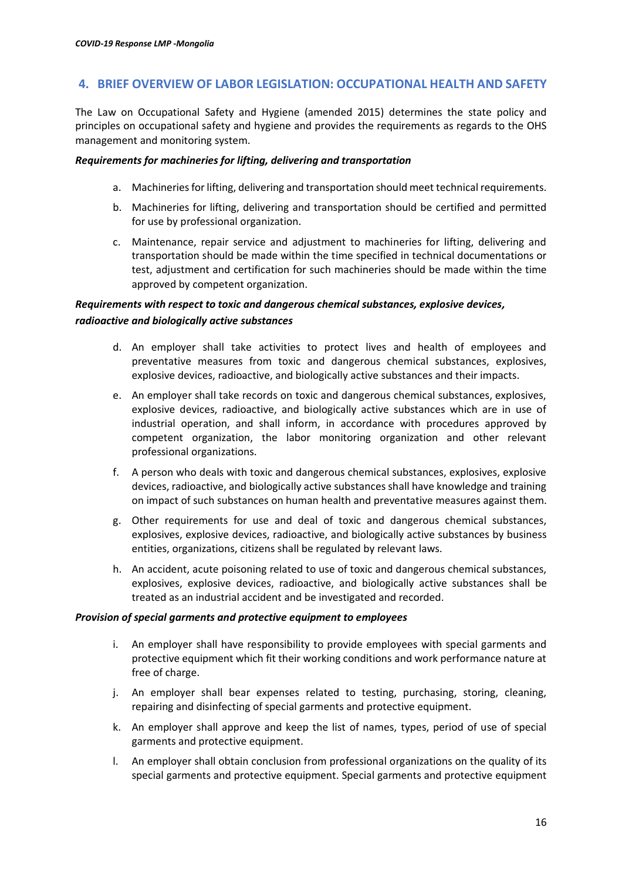# <span id="page-15-0"></span>**4. BRIEF OVERVIEW OF LABOR LEGISLATION: OCCUPATIONAL HEALTH AND SAFETY**

The Law on Occupational Safety and Hygiene (amended 2015) determines the state policy and principles on occupational safety and hygiene and provides the requirements as regards to the OHS management and monitoring system.

### *Requirements for machineries for lifting, delivering and transportation*

- a. Machineries for lifting, delivering and transportation should meet technical requirements.
- b. Machineries for lifting, delivering and transportation should be certified and permitted for use by professional organization.
- c. Maintenance, repair service and adjustment to machineries for lifting, delivering and transportation should be made within the time specified in technical documentations or test, adjustment and certification for such machineries should be made within the time approved by competent organization.

# *Requirements with respect to toxic and dangerous chemical substances, explosive devices, radioactive and biologically active substances*

- d. An employer shall take activities to protect lives and health of employees and preventative measures from toxic and dangerous chemical substances, explosives, explosive devices, radioactive, and biologically active substances and their impacts.
- e. An employer shall take records on toxic and dangerous chemical substances, explosives, explosive devices, radioactive, and biologically active substances which are in use of industrial operation, and shall inform, in accordance with procedures approved by competent organization, the labor monitoring organization and other relevant professional organizations.
- f. A person who deals with toxic and dangerous chemical substances, explosives, explosive devices, radioactive, and biologically active substances shall have knowledge and training on impact of such substances on human health and preventative measures against them.
- g. Other requirements for use and deal of toxic and dangerous chemical substances, explosives, explosive devices, radioactive, and biologically active substances by business entities, organizations, citizens shall be regulated by relevant laws.
- h. An accident, acute poisoning related to use of toxic and dangerous chemical substances, explosives, explosive devices, radioactive, and biologically active substances shall be treated as an industrial accident and be investigated and recorded.

### *Provision of special garments and protective equipment to employees*

- i. An employer shall have responsibility to provide employees with special garments and protective equipment which fit their working conditions and work performance nature at free of charge.
- j. An employer shall bear expenses related to testing, purchasing, storing, cleaning, repairing and disinfecting of special garments and protective equipment.
- k. An employer shall approve and keep the list of names, types, period of use of special garments and protective equipment.
- l. An employer shall obtain conclusion from professional organizations on the quality of its special garments and protective equipment. Special garments and protective equipment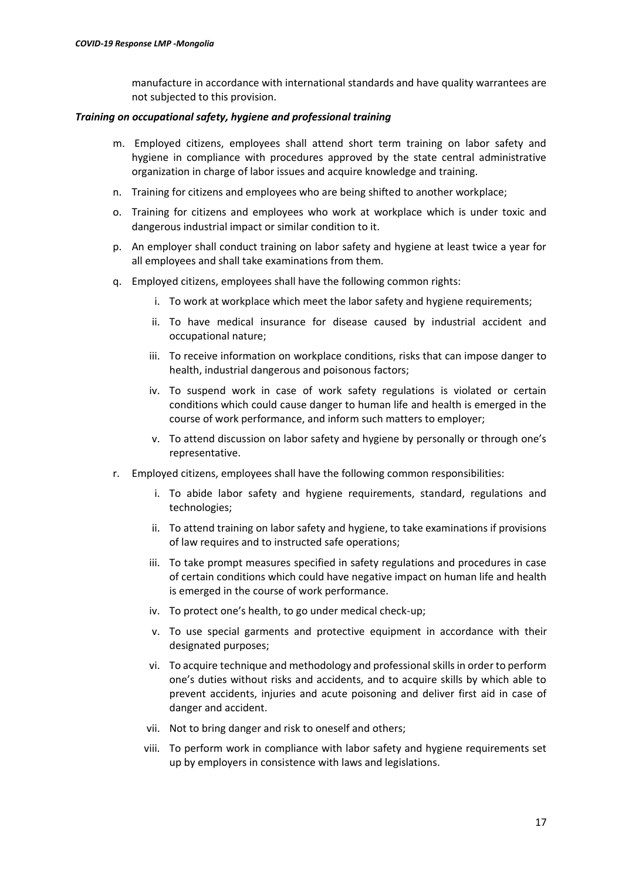manufacture in accordance with international standards and have quality warrantees are not subjected to this provision.

#### *Training on occupational safety, hygiene and professional training*

- m. Employed citizens, employees shall attend short term training on labor safety and hygiene in compliance with procedures approved by the state central administrative organization in charge of labor issues and acquire knowledge and training.
- n. Training for citizens and employees who are being shifted to another workplace;
- o. Training for citizens and employees who work at workplace which is under toxic and dangerous industrial impact or similar condition to it.
- p. An employer shall conduct training on labor safety and hygiene at least twice a year for all employees and shall take examinations from them.
- q. Employed citizens, employees shall have the following common rights:
	- i. To work at workplace which meet the labor safety and hygiene requirements;
	- ii. To have medical insurance for disease caused by industrial accident and occupational nature;
	- iii. To receive information on workplace conditions, risks that can impose danger to health, industrial dangerous and poisonous factors;
	- iv. To suspend work in case of work safety regulations is violated or certain conditions which could cause danger to human life and health is emerged in the course of work performance, and inform such matters to employer;
	- v. To attend discussion on labor safety and hygiene by personally or through one's representative.
- r. Employed citizens, employees shall have the following common responsibilities:
	- i. To abide labor safety and hygiene requirements, standard, regulations and technologies;
	- ii. To attend training on labor safety and hygiene, to take examinations if provisions of law requires and to instructed safe operations;
	- iii. To take prompt measures specified in safety regulations and procedures in case of certain conditions which could have negative impact on human life and health is emerged in the course of work performance.
	- iv. To protect one's health, to go under medical check-up;
	- v. To use special garments and protective equipment in accordance with their designated purposes;
	- vi. To acquire technique and methodology and professional skills in order to perform one's duties without risks and accidents, and to acquire skills by which able to prevent accidents, injuries and acute poisoning and deliver first aid in case of danger and accident.
	- vii. Not to bring danger and risk to oneself and others;
	- viii. To perform work in compliance with labor safety and hygiene requirements set up by employers in consistence with laws and legislations.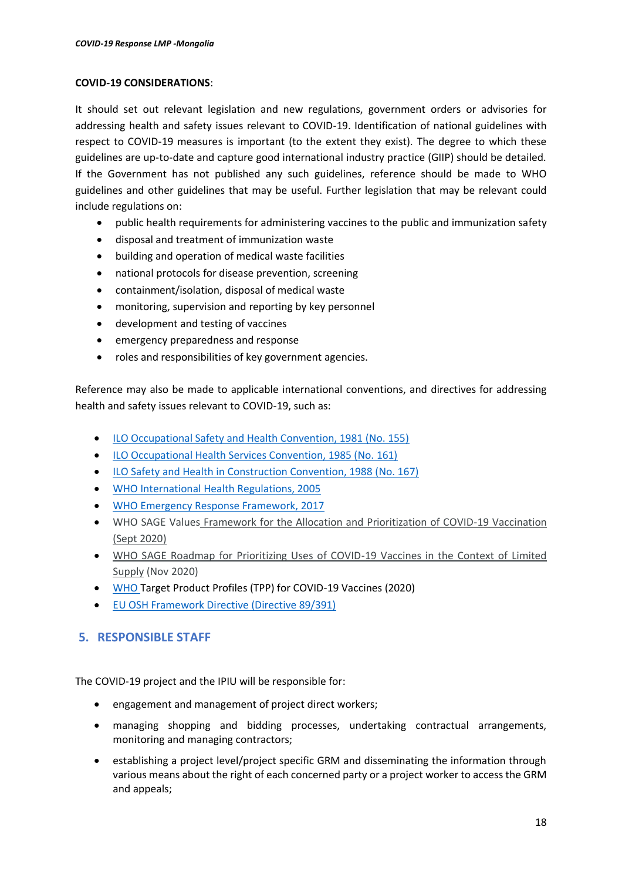#### **COVID-19 CONSIDERATIONS**:

It should set out relevant legislation and new regulations, government orders or advisories for addressing health and safety issues relevant to COVID-19. Identification of national guidelines with respect to COVID-19 measures is important (to the extent they exist). The degree to which these guidelines are up-to-date and capture good international industry practice (GIIP) should be detailed. If the Government has not published any such guidelines, reference should be made to WHO guidelines and other guidelines that may be useful. Further legislation that may be relevant could include regulations on:

- public health requirements for administering vaccines to the public and immunization safety
- disposal and treatment of immunization waste
- building and operation of medical waste facilities
- national protocols for disease prevention, screening
- containment/isolation, disposal of medical waste
- monitoring, supervision and reporting by key personnel
- development and testing of vaccines
- emergency preparedness and response
- roles and responsibilities of key government agencies.

Reference may also be made to applicable international conventions, and directives for addressing health and safety issues relevant to COVID-19, such as:

- [ILO Occupational Safety and Health Convention, 1981 \(No. 155\)](https://www.ilo.org/dyn/normlex/en/f?p=NORMLEXPUB:12100:0::NO:12100:P12100_INSTRUMENT_ID:312300:NO)
- [ILO Occupational Health Services Convention, 1985 \(No. 161\)](https://www.ilo.org/dyn/normlex/en/f?p=NORMLEXPUB:12100:0::NO:12100:P12100_ILO_CODE:C161)
- [ILO Safety and Health in Construction Convention, 1988 \(No. 167\)](https://www.ilo.org/dyn/normlex/en/f?p=NORMLEXPUB:12100:0::NO:12100:P12100_INSTRUMENT_ID:312312:NO)
- [WHO International Health Regulations, 2005](https://apps.who.int/iris/bitstream/handle/10665/246107/9789241580496-eng.pdf?sequence=1)
- [WHO Emergency Response Framework,](https://apps.who.int/iris/bitstream/handle/10665/258604/9789241512299-eng.pdf?sequence=1) 2017
- WHO SAGE Values [Framework for the Allocation and Prioritization of COVID-19 Vaccination](https://apps.who.int/iris/handle/10665/334299)  [\(Sept 2020\)](https://apps.who.int/iris/handle/10665/334299)
- [WHO SAGE Roadmap for Prioritizing Uses of COVID-19 Vaccines in the Context of Limited](https://www.who.int/publications/m/item/who-sage-roadmap-for-prioritizing-uses-of-covid-19-vaccines-in-the-context-of-limited-supply)  [Supply](https://www.who.int/publications/m/item/who-sage-roadmap-for-prioritizing-uses-of-covid-19-vaccines-in-the-context-of-limited-supply) (Nov 2020)
- WHO Target Product Profiles (TPP) for COVID-19 Vaccines (2020)
- [EU OSH Framework Directive \(Directive 89/391\)](https://osha.europa.eu/en/legislation/directives/the-osh-framework-directive/1)

# <span id="page-17-0"></span>**5. RESPONSIBLE STAFF**

The COVID-19 project and the IPIU will be responsible for:

- engagement and management of project direct workers;
- managing shopping and bidding processes, undertaking contractual arrangements, monitoring and managing contractors;
- establishing a project level/project specific GRM and disseminating the information through various means about the right of each concerned party or a project worker to access the GRM and appeals;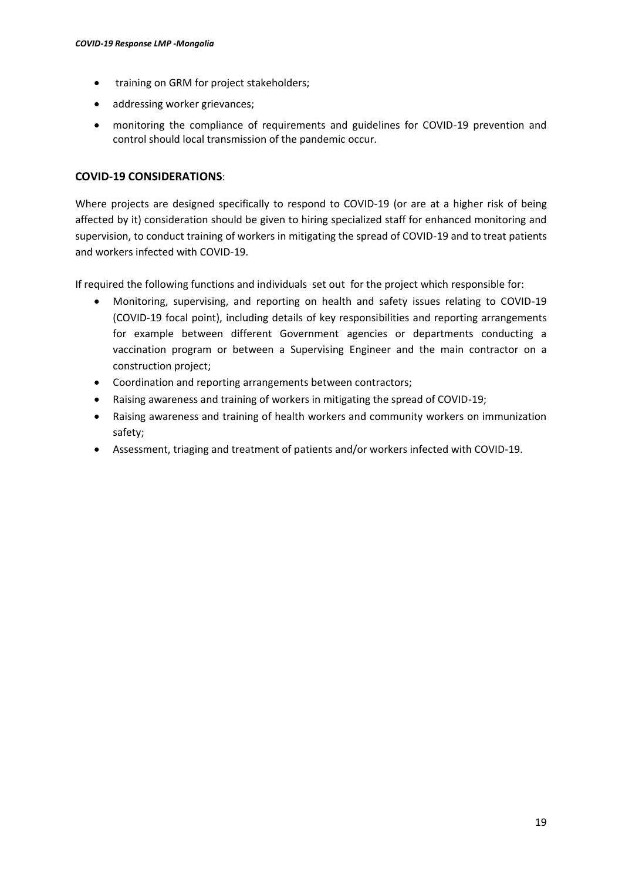- training on GRM for project stakeholders;
- addressing worker grievances;
- monitoring the compliance of requirements and guidelines for COVID-19 prevention and control should local transmission of the pandemic occur.

# **COVID-19 CONSIDERATIONS**:

Where projects are designed specifically to respond to COVID-19 (or are at a higher risk of being affected by it) consideration should be given to hiring specialized staff for enhanced monitoring and supervision, to conduct training of workers in mitigating the spread of COVID-19 and to treat patients and workers infected with COVID-19.

If required the following functions and individuals set out for the project which responsible for:

- Monitoring, supervising, and reporting on health and safety issues relating to COVID-19 (COVID-19 focal point), including details of key responsibilities and reporting arrangements for example between different Government agencies or departments conducting a vaccination program or between a Supervising Engineer and the main contractor on a construction project;
- Coordination and reporting arrangements between contractors;
- Raising awareness and training of workers in mitigating the spread of COVID-19;
- Raising awareness and training of health workers and community workers on immunization safety;
- Assessment, triaging and treatment of patients and/or workers infected with COVID-19.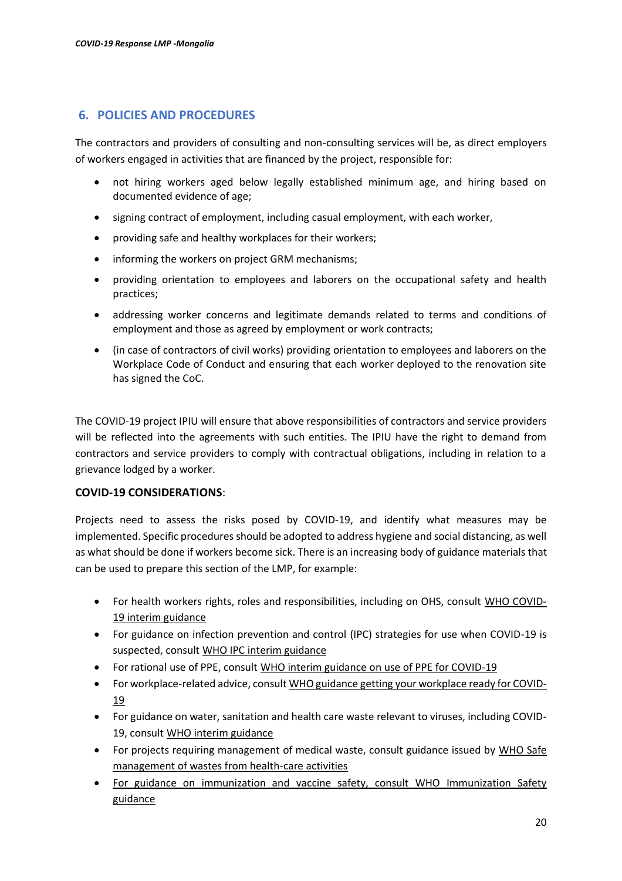# <span id="page-19-0"></span>**6. POLICIES AND PROCEDURES**

The contractors and providers of consulting and non-consulting services will be, as direct employers of workers engaged in activities that are financed by the project, responsible for:

- not hiring workers aged below legally established minimum age, and hiring based on documented evidence of age;
- signing contract of employment, including casual employment, with each worker,
- providing safe and healthy workplaces for their workers;
- informing the workers on project GRM mechanisms;
- providing orientation to employees and laborers on the occupational safety and health practices;
- addressing worker concerns and legitimate demands related to terms and conditions of employment and those as agreed by employment or work contracts;
- (in case of contractors of civil works) providing orientation to employees and laborers on the Workplace Code of Conduct and ensuring that each worker deployed to the renovation site has signed the CoC.

The COVID-19 project IPIU will ensure that above responsibilities of contractors and service providers will be reflected into the agreements with such entities. The IPIU have the right to demand from contractors and service providers to comply with contractual obligations, including in relation to a grievance lodged by a worker.

# **COVID-19 CONSIDERATIONS**:

Projects need to assess the risks posed by COVID-19, and identify what measures may be implemented. Specific procedures should be adopted to address hygiene and social distancing, as well as what should be done if workers become sick. There is an increasing body of guidance materials that can be used to prepare this section of the LMP, for example:

- For health workers rights, roles and responsibilities, including on OHS, consult [WHO COVID-](https://www.who.int/docs/default-source/coronaviruse/who-rights-roles-respon-hw-covid-19.pdf?sfvrsn=bcabd401_0)[19 interim guidance](https://www.who.int/docs/default-source/coronaviruse/who-rights-roles-respon-hw-covid-19.pdf?sfvrsn=bcabd401_0)
- For guidance on infection prevention and control (IPC) strategies for use when COVID-19 is suspected, consul[t WHO IPC interim guidance](https://www.who.int/publications-detail/infection-prevention-and-control-during-health-care-when-novel-coronavirus-(ncov)-infection-is-suspected-20200125)
- For rational use of PPE, consult [WHO interim guidance on use of PPE for COVID-19](https://apps.who.int/iris/bitstream/handle/10665/331215/WHO-2019-nCov-IPCPPE_use-2020.1-eng.pdf)
- For workplace-related advice, consul[t WHO guidance getting your workplace ready for COVID-](https://www.who.int/docs/default-source/coronaviruse/getting-workplace-ready-for-covid-19.pdf)[19](https://www.who.int/docs/default-source/coronaviruse/getting-workplace-ready-for-covid-19.pdf)
- For guidance on water, sanitation and health care waste relevant to viruses, including COVID-19, consult [WHO interim guidance](https://www.who.int/publications-detail/water-sanitation-hygiene-and-waste-management-for-covid-19)
- For projects requiring management of medical waste, consult guidance issued by WHO Safe [management of wastes from health-care activities](https://apps.who.int/iris/bitstream/handle/10665/85349/9789241548564_eng.pdf?sequence=1)
- For guidance on immunization and vaccine safety, consult WHO [Immunization Safety](https://www.who.int/immunization/documents/MLM_module3.pdf)  [guidance](https://www.who.int/immunization/documents/MLM_module3.pdf)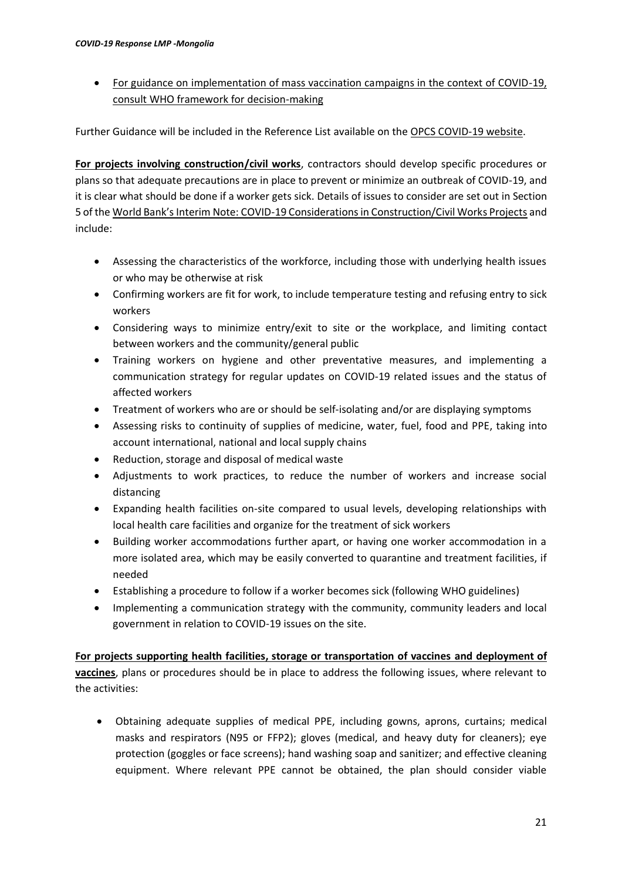• For guidance on implementation of mass vaccination campaigns in the context of COVID-19, consult [WHO framework for decision-making](https://www.who.int/publications/i/item/WHO-2019-nCoV-Framework_Mass_Vaccination-2020.1)

Further Guidance will be included in the Reference List available on th[e OPCS COVID-19 website.](https://worldbankgroup.sharepoint.com/sites/wbunits/opcs/Pages/pc/Operations-COVID19-Coronavirus-Information-03092020-081859/Overview-03092020-081941.aspx)

**For projects involving construction/civil works**, contractors should develop specific procedures or plans so that adequate precautions are in place to prevent or minimize an outbreak of COVID-19, and it is clear what should be done if a worker gets sick. Details of issues to consider are set out in Section 5 of the World Bank's Interim Note: COVID[-19 Considerationsin Construction/Civil Works Projects](https://worldbankgroup.sharepoint.com/sites/wbunits/opcs/Knowledge%20Base/ESF%20Safeguards%20Interim%20Note%20Construction%20Civil%20Works%20COVID.pdf) and include:

- Assessing the characteristics of the workforce, including those with underlying health issues or who may be otherwise at risk
- Confirming workers are fit for work, to include temperature testing and refusing entry to sick workers
- Considering ways to minimize entry/exit to site or the workplace, and limiting contact between workers and the community/general public
- Training workers on hygiene and other preventative measures, and implementing a communication strategy for regular updates on COVID-19 related issues and the status of affected workers
- Treatment of workers who are or should be self-isolating and/or are displaying symptoms
- Assessing risks to continuity of supplies of medicine, water, fuel, food and PPE, taking into account international, national and local supply chains
- Reduction, storage and disposal of medical waste
- Adjustments to work practices, to reduce the number of workers and increase social distancing
- Expanding health facilities on-site compared to usual levels, developing relationships with local health care facilities and organize for the treatment of sick workers
- Building worker accommodations further apart, or having one worker accommodation in a more isolated area, which may be easily converted to quarantine and treatment facilities, if needed
- Establishing a procedure to follow if a worker becomes sick (following WHO guidelines)
- Implementing a communication strategy with the community, community leaders and local government in relation to COVID-19 issues on the site.

**For projects supporting health facilities, storage or transportation of vaccines and deployment of** 

**vaccines**, plans or procedures should be in place to address the following issues, where relevant to the activities:

• Obtaining adequate supplies of medical PPE, including gowns, aprons, curtains; medical masks and respirators (N95 or FFP2); gloves (medical, and heavy duty for cleaners); eye protection (goggles or face screens); hand washing soap and sanitizer; and effective cleaning equipment. Where relevant PPE cannot be obtained, the plan should consider viable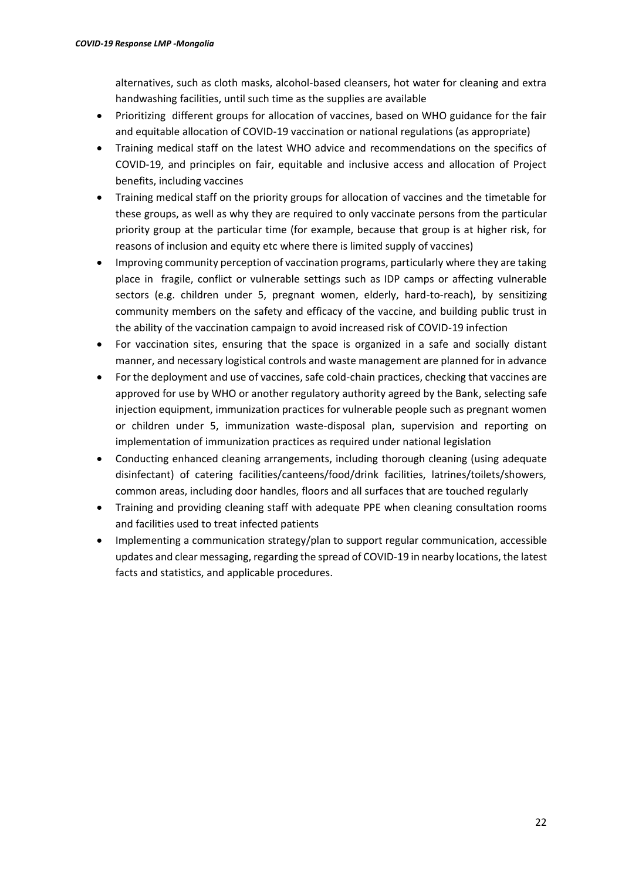alternatives, such as cloth masks, alcohol-based cleansers, hot water for cleaning and extra handwashing facilities, until such time as the supplies are available

- Prioritizing different groups for allocation of vaccines, based on WHO guidance for the fair and equitable allocation of COVID-19 vaccination or national regulations (as appropriate)
- Training medical staff on the latest WHO advice and recommendations on the specifics of COVID-19, and principles on fair, equitable and inclusive access and allocation of Project benefits, including vaccines
- Training medical staff on the priority groups for allocation of vaccines and the timetable for these groups, as well as why they are required to only vaccinate persons from the particular priority group at the particular time (for example, because that group is at higher risk, for reasons of inclusion and equity etc where there is limited supply of vaccines)
- Improving community perception of vaccination programs, particularly where they are taking place in fragile, conflict or vulnerable settings such as IDP camps or affecting vulnerable sectors (e.g. children under 5, pregnant women, elderly, hard-to-reach), by sensitizing community members on the safety and efficacy of the vaccine, and building public trust in the ability of the vaccination campaign to avoid increased risk of COVID-19 infection
- For vaccination sites, ensuring that the space is organized in a safe and socially distant manner, and necessary logistical controls and waste management are planned for in advance
- For the deployment and use of vaccines, safe cold-chain practices, checking that vaccines are approved for use by WHO or another regulatory authority agreed by the Bank, selecting safe injection equipment, immunization practices for vulnerable people such as pregnant women or children under 5, immunization waste-disposal plan, supervision and reporting on implementation of immunization practices as required under national legislation
- Conducting enhanced cleaning arrangements, including thorough cleaning (using adequate disinfectant) of catering facilities/canteens/food/drink facilities, latrines/toilets/showers, common areas, including door handles, floors and all surfaces that are touched regularly
- Training and providing cleaning staff with adequate PPE when cleaning consultation rooms and facilities used to treat infected patients
- Implementing a communication strategy/plan to support regular communication, accessible updates and clear messaging, regarding the spread of COVID-19 in nearby locations, the latest facts and statistics, and applicable procedures.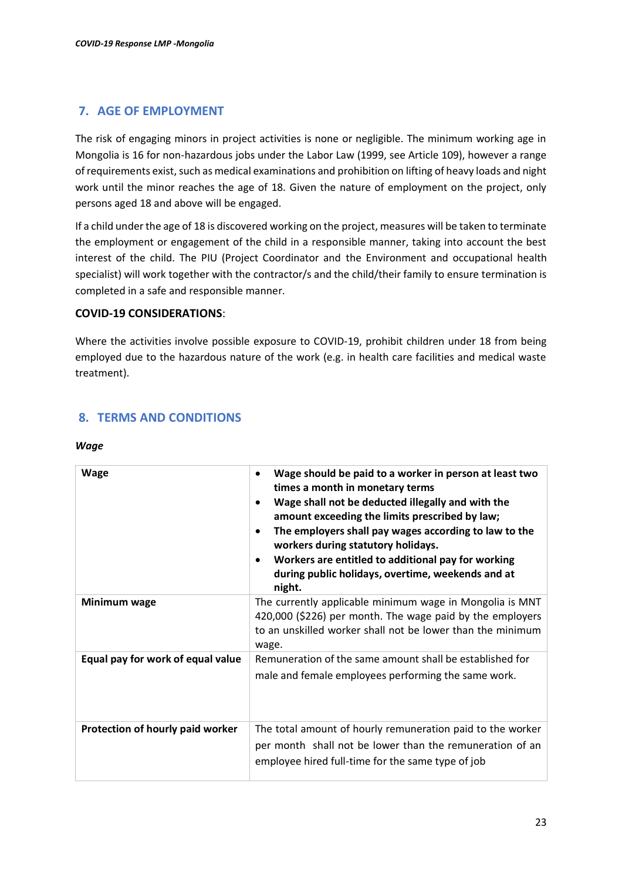# <span id="page-22-0"></span>**7. AGE OF EMPLOYMENT**

The risk of engaging minors in project activities is none or negligible. The minimum working age in Mongolia is 16 for non-hazardous jobs under the Labor Law (1999, see Article 109), however a range of requirements exist, such as medical examinations and prohibition on lifting of heavy loads and night work until the minor reaches the age of 18. Given the nature of employment on the project, only persons aged 18 and above will be engaged.

If a child under the age of 18 is discovered working on the project, measures will be taken to terminate the employment or engagement of the child in a responsible manner, taking into account the best interest of the child. The PIU (Project Coordinator and the Environment and occupational health specialist) will work together with the contractor/s and the child/their family to ensure termination is completed in a safe and responsible manner.

### **COVID-19 CONSIDERATIONS**:

Where the activities involve possible exposure to COVID-19, prohibit children under 18 from being employed due to the hazardous nature of the work (e.g. in health care facilities and medical waste treatment).

# <span id="page-22-1"></span>**8. TERMS AND CONDITIONS**

#### *Wage*

| <b>Wage</b>                       | Wage should be paid to a worker in person at least two<br>$\bullet$<br>times a month in monetary terms<br>Wage shall not be deducted illegally and with the<br>amount exceeding the limits prescribed by law;<br>The employers shall pay wages according to law to the<br>workers during statutory holidays.<br>Workers are entitled to additional pay for working<br>during public holidays, overtime, weekends and at<br>night. |
|-----------------------------------|-----------------------------------------------------------------------------------------------------------------------------------------------------------------------------------------------------------------------------------------------------------------------------------------------------------------------------------------------------------------------------------------------------------------------------------|
| Minimum wage                      | The currently applicable minimum wage in Mongolia is MNT<br>420,000 (\$226) per month. The wage paid by the employers<br>to an unskilled worker shall not be lower than the minimum<br>wage.                                                                                                                                                                                                                                      |
| Equal pay for work of equal value | Remuneration of the same amount shall be established for<br>male and female employees performing the same work.                                                                                                                                                                                                                                                                                                                   |
| Protection of hourly paid worker  | The total amount of hourly remuneration paid to the worker<br>per month shall not be lower than the remuneration of an<br>employee hired full-time for the same type of job                                                                                                                                                                                                                                                       |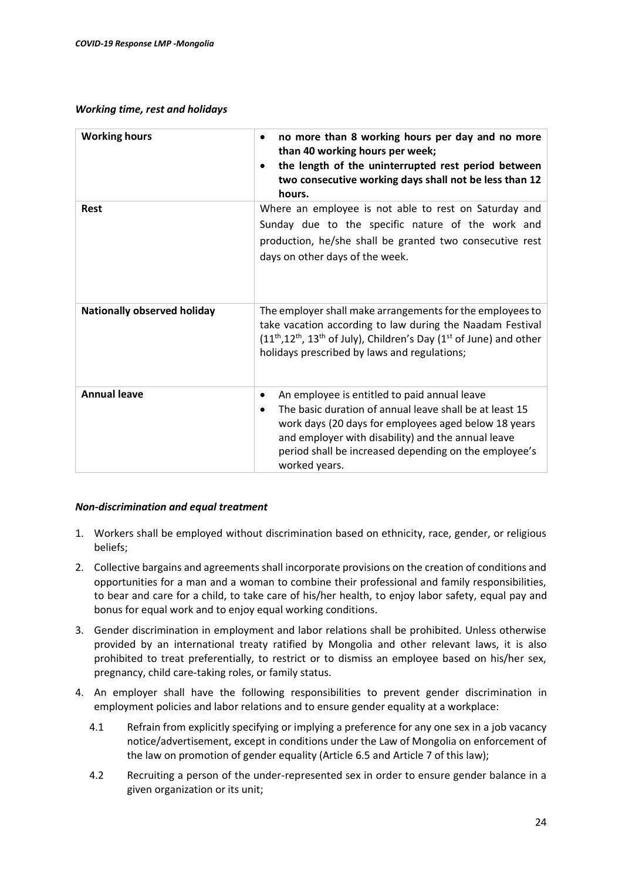### *Working time, rest and holidays*

| <b>Working hours</b>               | no more than 8 working hours per day and no more<br>than 40 working hours per week;<br>the length of the uninterrupted rest period between<br>two consecutive working days shall not be less than 12<br>hours.                                                                                       |
|------------------------------------|------------------------------------------------------------------------------------------------------------------------------------------------------------------------------------------------------------------------------------------------------------------------------------------------------|
| Rest                               | Where an employee is not able to rest on Saturday and<br>Sunday due to the specific nature of the work and<br>production, he/she shall be granted two consecutive rest<br>days on other days of the week.                                                                                            |
| <b>Nationally observed holiday</b> | The employer shall make arrangements for the employees to<br>take vacation according to law during the Naadam Festival<br>$(11th, 12th, 13th$ of July), Children's Day ( $1st$ of June) and other<br>holidays prescribed by laws and regulations;                                                    |
| <b>Annual leave</b>                | An employee is entitled to paid annual leave<br>٠<br>The basic duration of annual leave shall be at least 15<br>work days (20 days for employees aged below 18 years<br>and employer with disability) and the annual leave<br>period shall be increased depending on the employee's<br>worked years. |

### *Non-discrimination and equal treatment*

- 1. Workers shall be employed without discrimination based on ethnicity, race, gender, or religious beliefs;
- 2. Collective bargains and agreements shall incorporate provisions on the creation of conditions and opportunities for a man and a woman to combine their professional and family responsibilities, to bear and care for a child, to take care of his/her health, to enjoy labor safety, equal pay and bonus for equal work and to enjoy equal working conditions.
- 3. Gender discrimination in employment and labor relations shall be prohibited. Unless otherwise provided by an international treaty ratified by Mongolia and other relevant laws, it is also prohibited to treat preferentially, to restrict or to dismiss an employee based on his/her sex, pregnancy, child care-taking roles, or family status.
- 4. An employer shall have the following responsibilities to prevent gender discrimination in employment policies and labor relations and to ensure gender equality at a workplace:
	- 4.1 Refrain from explicitly specifying or implying a preference for any one sex in a job vacancy notice/advertisement, except in conditions under the Law of Mongolia on enforcement of the law on promotion of gender equality (Article 6.5 and Article 7 of this law);
	- 4.2 Recruiting a person of the under-represented sex in order to ensure gender balance in a given organization or its unit;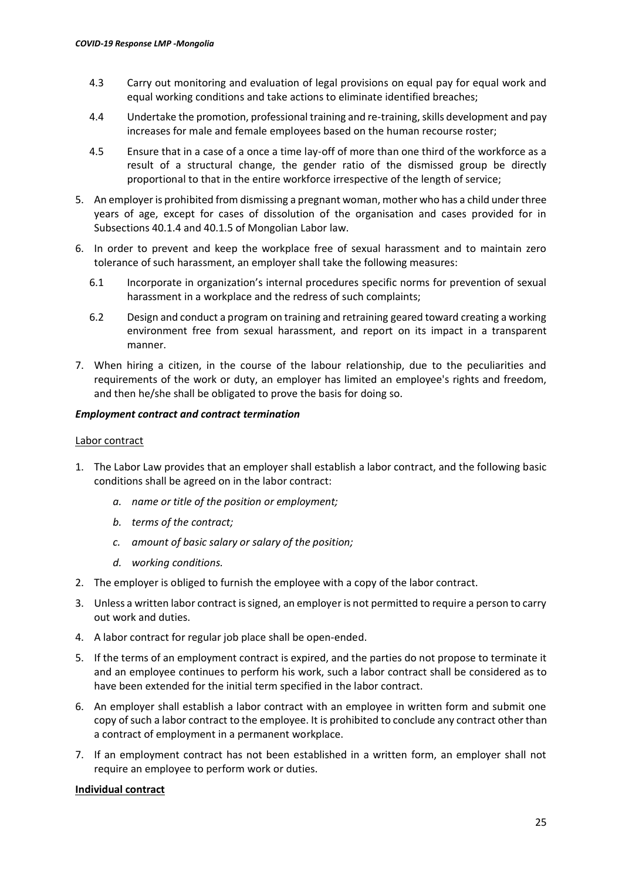- 4.3 Carry out monitoring and evaluation of legal provisions on equal pay for equal work and equal working conditions and take actions to eliminate identified breaches;
- 4.4 Undertake the promotion, professional training and re-training, skills development and pay increases for male and female employees based on the human recourse roster;
- 4.5 Ensure that in a case of a once a time lay-off of more than one third of the workforce as a result of a structural change, the gender ratio of the dismissed group be directly proportional to that in the entire workforce irrespective of the length of service;
- 5. An employer is prohibited from dismissing a pregnant woman, mother who has a child under three years of age, except for cases of dissolution of the organisation and cases provided for in Subsections 40.1.4 and 40.1.5 of Mongolian Labor law.
- 6. In order to prevent and keep the workplace free of sexual harassment and to maintain zero tolerance of such harassment, an employer shall take the following measures:
	- 6.1 Incorporate in organization's internal procedures specific norms for prevention of sexual harassment in a workplace and the redress of such complaints;
	- 6.2 Design and conduct a program on training and retraining geared toward creating a working environment free from sexual harassment, and report on its impact in a transparent manner.
- 7. When hiring a citizen, in the course of the labour relationship, due to the peculiarities and requirements of the work or duty, an employer has limited an employee's rights and freedom, and then he/she shall be obligated to prove the basis for doing so.

### *Employment contract and contract termination*

### Labor contract

- 1. The Labor Law provides that an employer shall establish a labor contract, and the following basic conditions shall be agreed on in the labor contract:
	- *a. name or title of the position or employment;*
	- *b. terms of the contract;*
	- *c. amount of basic salary or salary of the position;*
	- *d. working conditions.*
- 2. The employer is obliged to furnish the employee with a copy of the labor contract.
- 3. Unless a written labor contract is signed, an employer is not permitted to require a person to carry out work and duties.
- 4. A labor contract for regular job place shall be open-ended.
- 5. If the terms of an employment contract is expired, and the parties do not propose to terminate it and an employee continues to perform his work, such a labor contract shall be considered as to have been extended for the initial term specified in the labor contract.
- 6. An employer shall establish a labor contract with an employee in written form and submit one copy of such a labor contract to the employee. It is prohibited to conclude any contract other than a contract of employment in a permanent workplace.
- 7. If an employment contract has not been established in a written form, an employer shall not require an employee to perform work or duties.

### **Individual contract**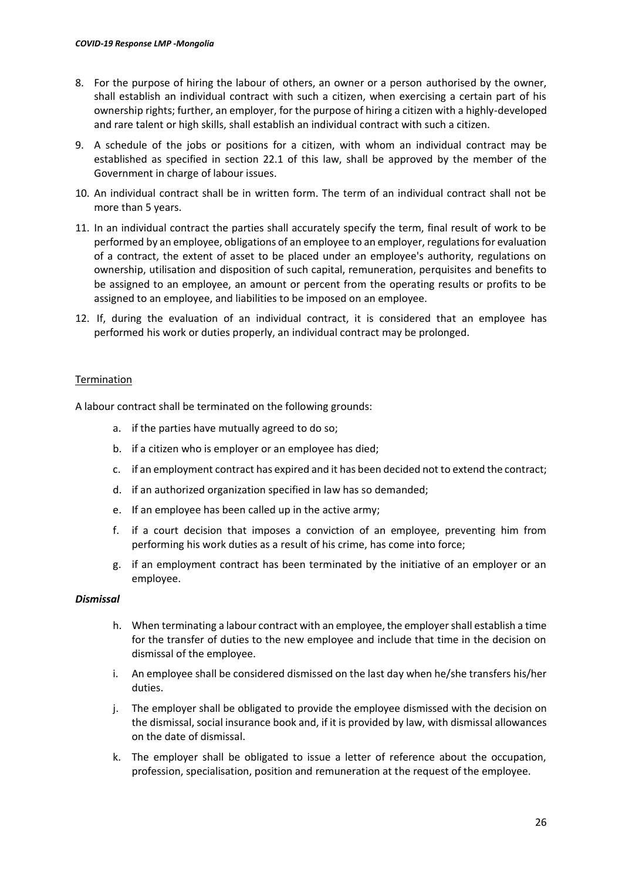- 8. For the purpose of hiring the labour of others, an owner or a person authorised by the owner, shall establish an individual contract with such a citizen, when exercising a certain part of his ownership rights; further, an employer, for the purpose of hiring a citizen with a highly-developed and rare talent or high skills, shall establish an individual contract with such a citizen.
- 9. A schedule of the jobs or positions for a citizen, with whom an individual contract may be established as specified in section 22.1 of this law, shall be approved by the member of the Government in charge of labour issues.
- 10. An individual contract shall be in written form. The term of an individual contract shall not be more than 5 years.
- 11. In an individual contract the parties shall accurately specify the term, final result of work to be performed by an employee, obligations of an employee to an employer, regulations for evaluation of a contract, the extent of asset to be placed under an employee's authority, regulations on ownership, utilisation and disposition of such capital, remuneration, perquisites and benefits to be assigned to an employee, an amount or percent from the operating results or profits to be assigned to an employee, and liabilities to be imposed on an employee.
- 12. If, during the evaluation of an individual contract, it is considered that an employee has performed his work or duties properly, an individual contract may be prolonged.

### **Termination**

A labour contract shall be terminated on the following grounds:

- a. if the parties have mutually agreed to do so;
- b. if a citizen who is employer or an employee has died;
- c. if an employment contract has expired and it has been decided not to extend the contract;
- d. if an authorized organization specified in law has so demanded;
- e. If an employee has been called up in the active army;
- f. if a court decision that imposes a conviction of an employee, preventing him from performing his work duties as a result of his crime, has come into force;
- g. if an employment contract has been terminated by the initiative of an employer or an employee.

### *Dismissal*

- h. When terminating a labour contract with an employee, the employer shall establish a time for the transfer of duties to the new employee and include that time in the decision on dismissal of the employee.
- i. An employee shall be considered dismissed on the last day when he/she transfers his/her duties.
- j. The employer shall be obligated to provide the employee dismissed with the decision on the dismissal, social insurance book and, if it is provided by law, with dismissal allowances on the date of dismissal.
- k. The employer shall be obligated to issue a letter of reference about the occupation, profession, specialisation, position and remuneration at the request of the employee.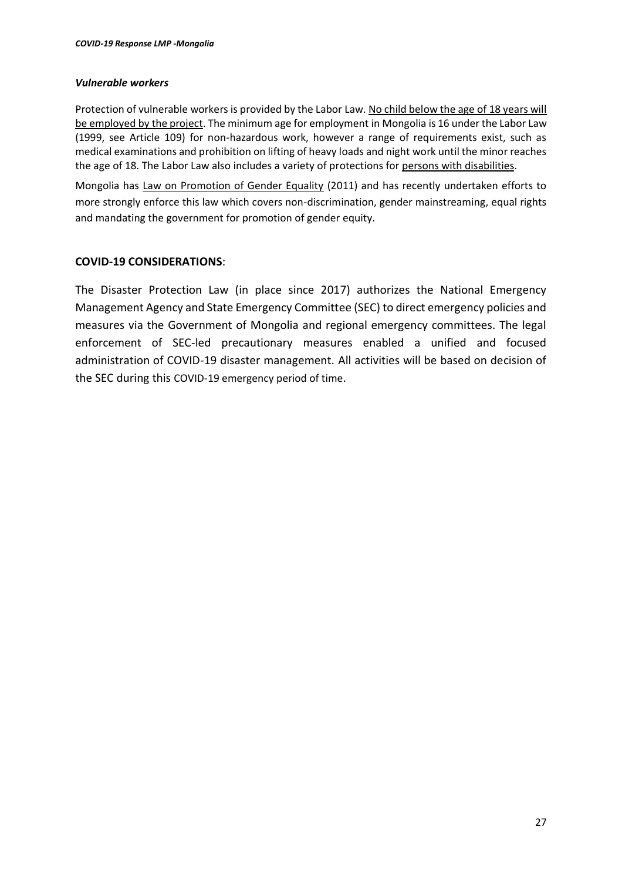### *Vulnerable workers*

Protection of vulnerable workers is provided by the Labor Law. No child below the age of 18 years will be employed by the project. The minimum age for employment in Mongolia is 16 under the Labor Law (1999, see Article 109) for non-hazardous work, however a range of requirements exist, such as medical examinations and prohibition on lifting of heavy loads and night work until the minor reaches the age of 18. The Labor Law also includes a variety of protections for persons with disabilities.

Mongolia has Law on Promotion of Gender Equality (2011) and has recently undertaken efforts to more strongly enforce this law which covers non-discrimination, gender mainstreaming, equal rights and mandating the government for promotion of gender equity.

# **COVID-19 CONSIDERATIONS**:

The Disaster Protection Law (in place since 2017) authorizes the National Emergency Management Agency and State Emergency Committee (SEC) to direct emergency policies and measures via the Government of Mongolia and regional emergency committees. The legal enforcement of SEC-led precautionary measures enabled a unified and focused administration of COVID-19 disaster management. All activities will be based on decision of the SEC during this COVID-19 emergency period of time.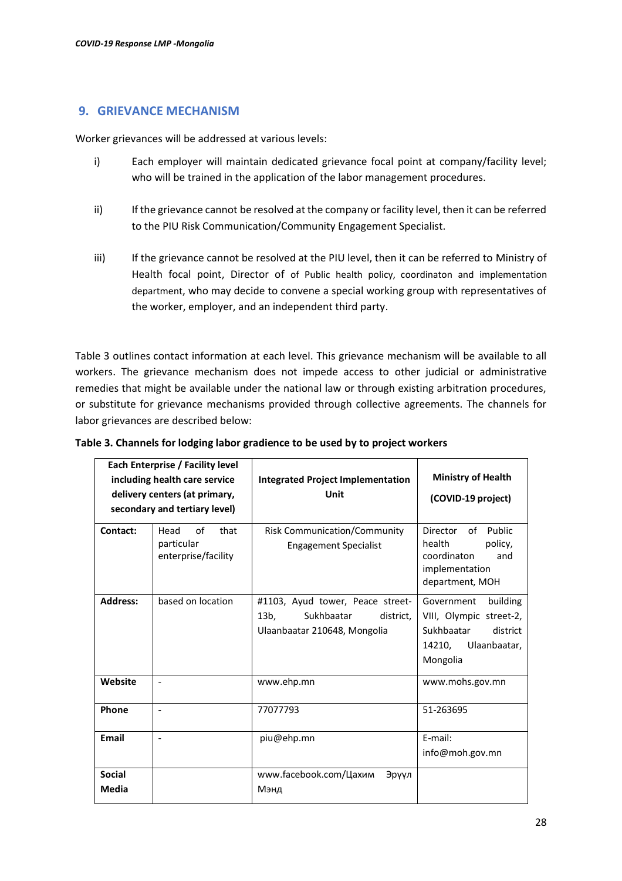### <span id="page-27-0"></span>**9. GRIEVANCE MECHANISM**

Worker grievances will be addressed at various levels:

- i) Each employer will maintain dedicated grievance focal point at company/facility level; who will be trained in the application of the labor management procedures.
- ii) If the grievance cannot be resolved at the company or facility level, then it can be referred to the PIU Risk Communication/Community Engagement Specialist.
- iii) If the grievance cannot be resolved at the PIU level, then it can be referred to Ministry of Health focal point, Director of of Public health policy, coordinaton and implementation department, who may decide to convene a special working group with representatives of the worker, employer, and an independent third party.

Table 3 outlines contact information at each level. This grievance mechanism will be available to all workers. The grievance mechanism does not impede access to other judicial or administrative remedies that might be available under the national law or through existing arbitration procedures, or substitute for grievance mechanisms provided through collective agreements. The channels for labor grievances are described below:

|                        | Each Enterprise / Facility level<br>including health care service<br>delivery centers (at primary,<br>secondary and tertiary level) | <b>Integrated Project Implementation</b><br>Unit                                                       | <b>Ministry of Health</b><br>(COVID-19 project)                                                                   |
|------------------------|-------------------------------------------------------------------------------------------------------------------------------------|--------------------------------------------------------------------------------------------------------|-------------------------------------------------------------------------------------------------------------------|
| Contact:               | Head<br>of<br>that<br>particular<br>enterprise/facility                                                                             | <b>Risk Communication/Community</b><br><b>Engagement Specialist</b>                                    | Director<br>of<br>Public<br>health<br>policy,<br>coordinaton<br>and<br>implementation<br>department, MOH          |
| <b>Address:</b>        | based on location                                                                                                                   | #1103, Ayud tower, Peace street-<br>$13b$ .<br>Sukhbaatar<br>district.<br>Ulaanbaatar 210648, Mongolia | Government<br>building<br>VIII, Olympic street-2,<br>Sukhbaatar<br>district<br>Ulaanbaatar,<br>14210,<br>Mongolia |
| Website                | $\overline{a}$                                                                                                                      | www.ehp.mn                                                                                             | www.mohs.gov.mn                                                                                                   |
| Phone                  | $\overline{\phantom{a}}$                                                                                                            | 77077793                                                                                               | 51-263695                                                                                                         |
| Email                  | $\overline{\phantom{a}}$                                                                                                            | piu@ehp.mn                                                                                             | E-mail:<br>info@moh.gov.mn                                                                                        |
| <b>Social</b><br>Media |                                                                                                                                     | www.facebook.com/Цахим<br>Эрүүл<br>Мэнд                                                                |                                                                                                                   |

**Table 3. Channels for lodging labor gradience to be used by to project workers**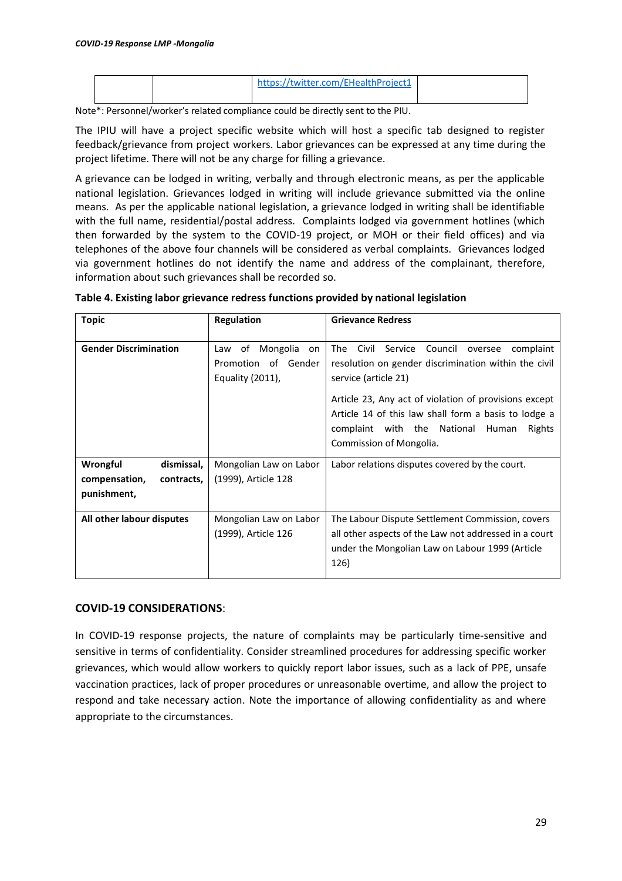|  | https://twitter.com/EHealthProject1 |  |
|--|-------------------------------------|--|
|--|-------------------------------------|--|

Note\*: Personnel/worker's related compliance could be directly sent to the PIU.

The IPIU will have a project specific website which will host a specific tab designed to register feedback/grievance from project workers. Labor grievances can be expressed at any time during the project lifetime. There will not be any charge for filling a grievance.

A grievance can be lodged in writing, verbally and through electronic means, as per the applicable national legislation. Grievances lodged in writing will include grievance submitted via the online means. As per the applicable national legislation, a grievance lodged in writing shall be identifiable with the full name, residential/postal address. Complaints lodged via government hotlines (which then forwarded by the system to the COVID-19 project, or MOH or their field offices) and via telephones of the above four channels will be considered as verbal complaints. Grievances lodged via government hotlines do not identify the name and address of the complainant, therefore, information about such grievances shall be recorded so.

| <b>Topic</b>                                                                                        | <b>Regulation</b>                             | <b>Grievance Redress</b>                                                                                                                                                                                                                                                                                                                 |  |
|-----------------------------------------------------------------------------------------------------|-----------------------------------------------|------------------------------------------------------------------------------------------------------------------------------------------------------------------------------------------------------------------------------------------------------------------------------------------------------------------------------------------|--|
| <b>Gender Discrimination</b><br>Mongolia<br>Law of<br>on<br>Promotion of Gender<br>Equality (2011), |                                               | Civil<br>The<br>Council<br>Service<br>complaint<br>oversee<br>resolution on gender discrimination within the civil<br>service (article 21)<br>Article 23, Any act of violation of provisions except<br>Article 14 of this law shall form a basis to lodge a<br>complaint with the National<br>Rights<br>Human<br>Commission of Mongolia. |  |
| Wrongful<br>dismissal,<br>compensation,<br>contracts,<br>punishment,                                | Mongolian Law on Labor<br>(1999), Article 128 | Labor relations disputes covered by the court.                                                                                                                                                                                                                                                                                           |  |
| All other labour disputes                                                                           | Mongolian Law on Labor<br>(1999), Article 126 | The Labour Dispute Settlement Commission, covers<br>all other aspects of the Law not addressed in a court<br>under the Mongolian Law on Labour 1999 (Article<br>126)                                                                                                                                                                     |  |

**Table 4. Existing labor grievance redress functions provided by national legislation**

# **COVID-19 CONSIDERATIONS**:

In COVID-19 response projects, the nature of complaints may be particularly time-sensitive and sensitive in terms of confidentiality. Consider streamlined procedures for addressing specific worker grievances, which would allow workers to quickly report labor issues, such as a lack of PPE, unsafe vaccination practices, lack of proper procedures or unreasonable overtime, and allow the project to respond and take necessary action. Note the importance of allowing confidentiality as and where appropriate to the circumstances.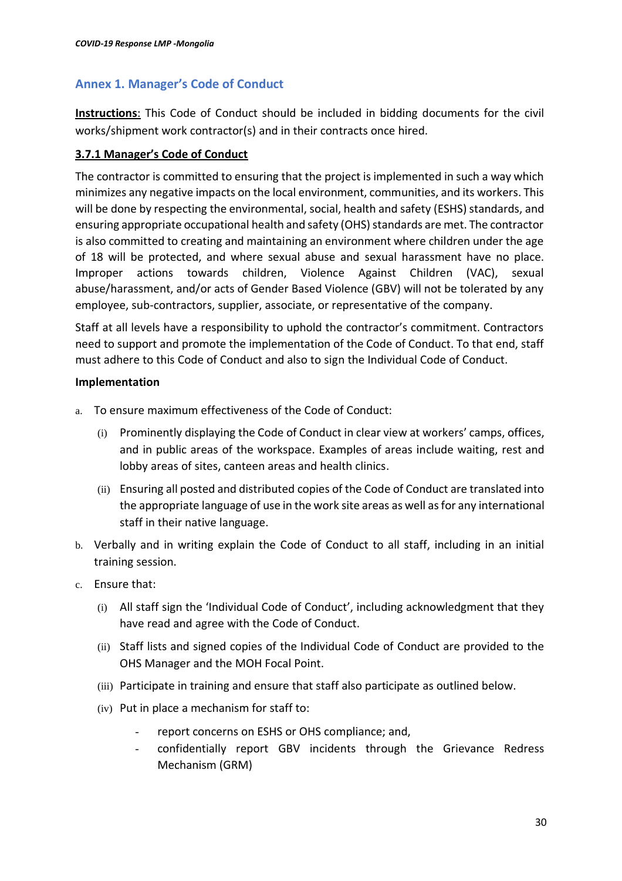# <span id="page-29-0"></span>**Annex 1. Manager's Code of Conduct**

**Instructions**: This Code of Conduct should be included in bidding documents for the civil works/shipment work contractor(s) and in their contracts once hired.

# **3.7.1 Manager's Code of Conduct**

The contractor is committed to ensuring that the project is implemented in such a way which minimizes any negative impacts on the local environment, communities, and its workers. This will be done by respecting the environmental, social, health and safety (ESHS) standards, and ensuring appropriate occupational health and safety (OHS) standards are met. The contractor is also committed to creating and maintaining an environment where children under the age of 18 will be protected, and where sexual abuse and sexual harassment have no place. Improper actions towards children, Violence Against Children (VAC), sexual abuse/harassment, and/or acts of Gender Based Violence (GBV) will not be tolerated by any employee, sub-contractors, supplier, associate, or representative of the company.

Staff at all levels have a responsibility to uphold the contractor's commitment. Contractors need to support and promote the implementation of the Code of Conduct. To that end, staff must adhere to this Code of Conduct and also to sign the Individual Code of Conduct.

# **Implementation**

- a. To ensure maximum effectiveness of the Code of Conduct:
	- (i) Prominently displaying the Code of Conduct in clear view at workers' camps, offices, and in public areas of the workspace. Examples of areas include waiting, rest and lobby areas of sites, canteen areas and health clinics.
	- (ii) Ensuring all posted and distributed copies of the Code of Conduct are translated into the appropriate language of use in the work site areas as well as for any international staff in their native language.
- b. Verbally and in writing explain the Code of Conduct to all staff, including in an initial training session.
- c. Ensure that:
	- (i) All staff sign the 'Individual Code of Conduct', including acknowledgment that they have read and agree with the Code of Conduct.
	- (ii) Staff lists and signed copies of the Individual Code of Conduct are provided to the OHS Manager and the MOH Focal Point.
	- (iii) Participate in training and ensure that staff also participate as outlined below.
	- (iv) Put in place a mechanism for staff to:
		- report concerns on ESHS or OHS compliance; and,
		- confidentially report GBV incidents through the Grievance Redress Mechanism (GRM)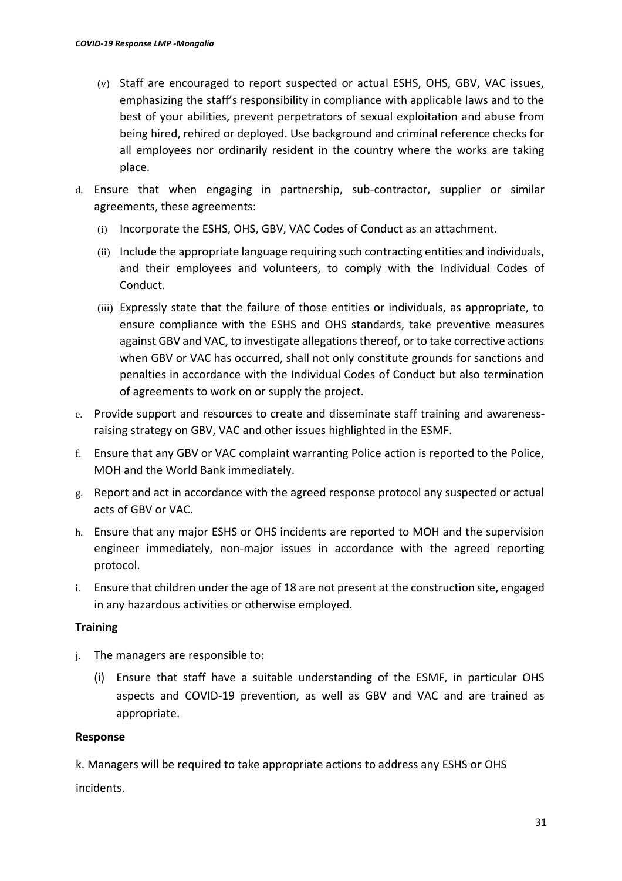- (v) Staff are encouraged to report suspected or actual ESHS, OHS, GBV, VAC issues, emphasizing the staff's responsibility in compliance with applicable laws and to the best of your abilities, prevent perpetrators of sexual exploitation and abuse from being hired, rehired or deployed. Use background and criminal reference checks for all employees nor ordinarily resident in the country where the works are taking place.
- d. Ensure that when engaging in partnership, sub-contractor, supplier or similar agreements, these agreements:
	- (i) Incorporate the ESHS, OHS, GBV, VAC Codes of Conduct as an attachment.
	- (ii) Include the appropriate language requiring such contracting entities and individuals, and their employees and volunteers, to comply with the Individual Codes of Conduct.
	- (iii) Expressly state that the failure of those entities or individuals, as appropriate, to ensure compliance with the ESHS and OHS standards, take preventive measures against GBV and VAC, to investigate allegations thereof, or to take corrective actions when GBV or VAC has occurred, shall not only constitute grounds for sanctions and penalties in accordance with the Individual Codes of Conduct but also termination of agreements to work on or supply the project.
- e. Provide support and resources to create and disseminate staff training and awarenessraising strategy on GBV, VAC and other issues highlighted in the ESMF.
- f. Ensure that any GBV or VAC complaint warranting Police action is reported to the Police, MOH and the World Bank immediately.
- g. Report and act in accordance with the agreed response protocol any suspected or actual acts of GBV or VAC.
- h. Ensure that any major ESHS or OHS incidents are reported to MOH and the supervision engineer immediately, non-major issues in accordance with the agreed reporting protocol.
- i. Ensure that children under the age of 18 are not present at the construction site, engaged in any hazardous activities or otherwise employed.

# **Training**

- j. The managers are responsible to:
	- (i) Ensure that staff have a suitable understanding of the ESMF, in particular OHS aspects and COVID-19 prevention, as well as GBV and VAC and are trained as appropriate.

# **Response**

k. Managers will be required to take appropriate actions to address any ESHS or OHS incidents.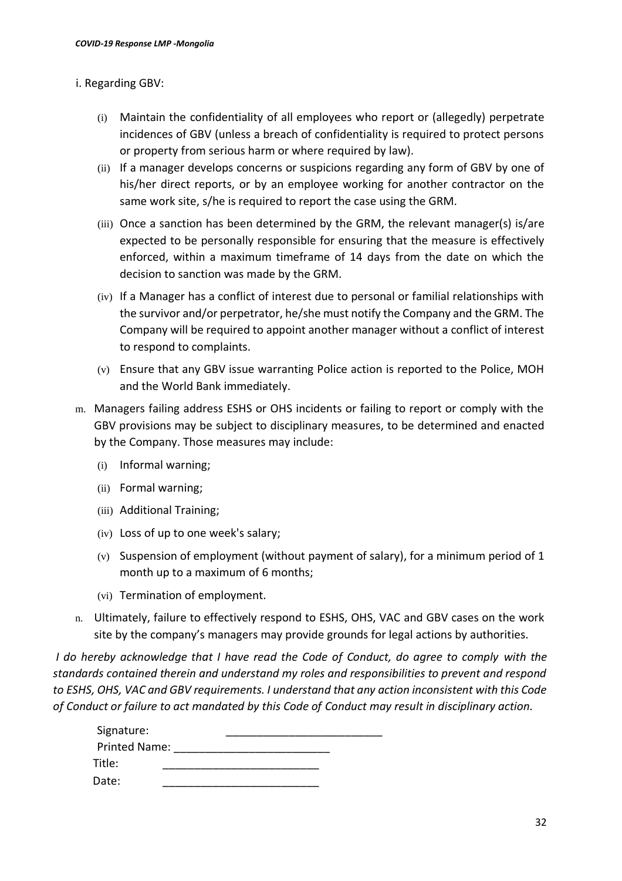# i. Regarding GBV:

- (i) Maintain the confidentiality of all employees who report or (allegedly) perpetrate incidences of GBV (unless a breach of confidentiality is required to protect persons or property from serious harm or where required by law).
- (ii) If a manager develops concerns or suspicions regarding any form of GBV by one of his/her direct reports, or by an employee working for another contractor on the same work site, s/he is required to report the case using the GRM.
- (iii) Once a sanction has been determined by the GRM, the relevant manager(s) is/are expected to be personally responsible for ensuring that the measure is effectively enforced, within a maximum timeframe of 14 days from the date on which the decision to sanction was made by the GRM.
- (iv) If a Manager has a conflict of interest due to personal or familial relationships with the survivor and/or perpetrator, he/she must notify the Company and the GRM. The Company will be required to appoint another manager without a conflict of interest to respond to complaints.
- (v) Ensure that any GBV issue warranting Police action is reported to the Police, MOH and the World Bank immediately.
- m. Managers failing address ESHS or OHS incidents or failing to report or comply with the GBV provisions may be subject to disciplinary measures, to be determined and enacted by the Company. Those measures may include:
	- (i) Informal warning;
	- (ii) Formal warning;
	- (iii) Additional Training;
	- (iv) Loss of up to one week's salary;
	- (v) Suspension of employment (without payment of salary), for a minimum period of 1 month up to a maximum of 6 months;
	- (vi) Termination of employment.
- n. Ultimately, failure to effectively respond to ESHS, OHS, VAC and GBV cases on the work site by the company's managers may provide grounds for legal actions by authorities.

*I* do hereby acknowledge that *I* have read the Code of Conduct, do agree to comply with the *standards contained therein and understand my roles and responsibilities to prevent and respond to ESHS, OHS, VAC and GBV requirements. I understand that any action inconsistent with this Code of Conduct or failure to act mandated by this Code of Conduct may result in disciplinary action.* 

| Signature:           |  |  |
|----------------------|--|--|
| <b>Printed Name:</b> |  |  |
| Title:               |  |  |
| Date:                |  |  |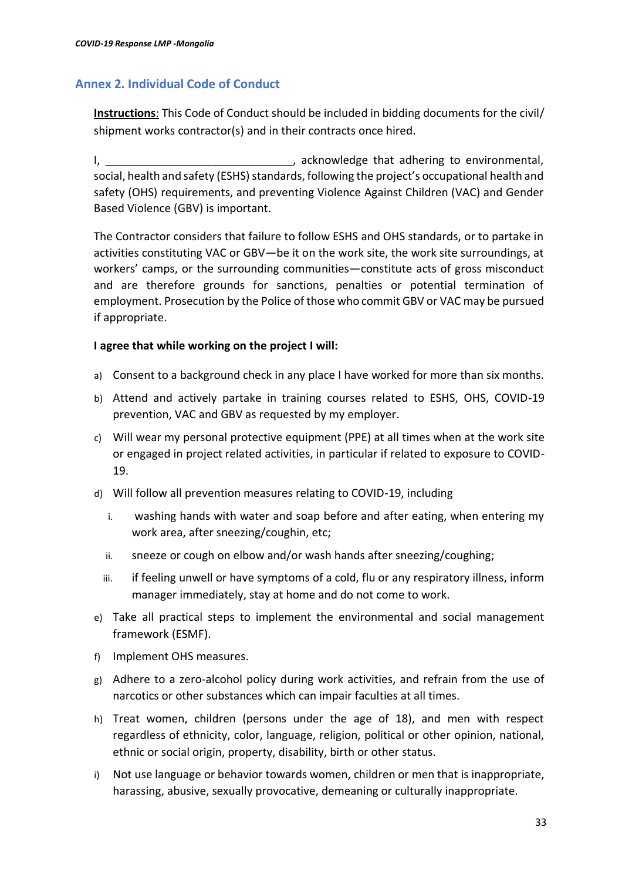# <span id="page-32-0"></span>**Annex 2. Individual Code of Conduct**

**Instructions**: This Code of Conduct should be included in bidding documents for the civil/ shipment works contractor(s) and in their contracts once hired.

I, \_\_\_\_\_\_\_\_\_\_\_\_\_\_\_\_\_\_\_\_\_\_\_\_\_\_\_\_\_\_\_\_, acknowledge that adhering to environmental, social, health and safety (ESHS) standards, following the project's occupational health and safety (OHS) requirements, and preventing Violence Against Children (VAC) and Gender Based Violence (GBV) is important.

The Contractor considers that failure to follow ESHS and OHS standards, or to partake in activities constituting VAC or GBV—be it on the work site, the work site surroundings, at workers' camps, or the surrounding communities—constitute acts of gross misconduct and are therefore grounds for sanctions, penalties or potential termination of employment. Prosecution by the Police of those who commit GBV or VAC may be pursued if appropriate.

# **I agree that while working on the project I will:**

- a) Consent to a background check in any place I have worked for more than six months.
- b) Attend and actively partake in training courses related to ESHS, OHS, COVID-19 prevention, VAC and GBV as requested by my employer.
- c) Will wear my personal protective equipment (PPE) at all times when at the work site or engaged in project related activities, in particular if related to exposure to COVID-19.
- d) Will follow all prevention measures relating to COVID-19, including
	- i. washing hands with water and soap before and after eating, when entering my work area, after sneezing/coughin, etc;
	- ii. sneeze or cough on elbow and/or wash hands after sneezing/coughing;
	- iii. if feeling unwell or have symptoms of a cold, flu or any respiratory illness, inform manager immediately, stay at home and do not come to work.
- e) Take all practical steps to implement the environmental and social management framework (ESMF).
- f) Implement OHS measures.
- g) Adhere to a zero-alcohol policy during work activities, and refrain from the use of narcotics or other substances which can impair faculties at all times.
- h) Treat women, children (persons under the age of 18), and men with respect regardless of ethnicity, color, language, religion, political or other opinion, national, ethnic or social origin, property, disability, birth or other status.
- i) Not use language or behavior towards women, children or men that is inappropriate, harassing, abusive, sexually provocative, demeaning or culturally inappropriate.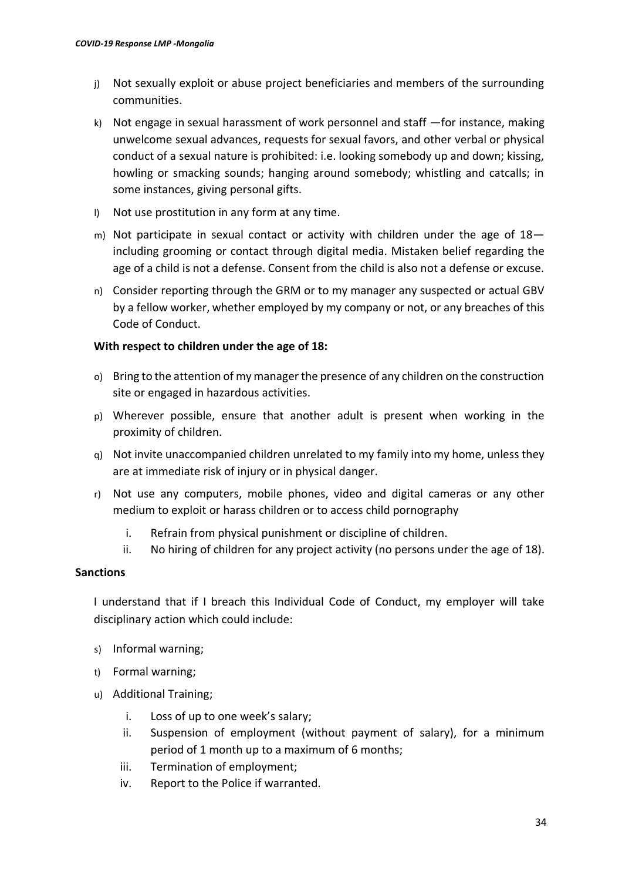- j) Not sexually exploit or abuse project beneficiaries and members of the surrounding communities.
- k) Not engage in sexual harassment of work personnel and staff —for instance, making unwelcome sexual advances, requests for sexual favors, and other verbal or physical conduct of a sexual nature is prohibited: i.e. looking somebody up and down; kissing, howling or smacking sounds; hanging around somebody; whistling and catcalls; in some instances, giving personal gifts.
- l) Not use prostitution in any form at any time.
- m) Not participate in sexual contact or activity with children under the age of 18 including grooming or contact through digital media. Mistaken belief regarding the age of a child is not a defense. Consent from the child is also not a defense or excuse.
- n) Consider reporting through the GRM or to my manager any suspected or actual GBV by a fellow worker, whether employed by my company or not, or any breaches of this Code of Conduct.

# **With respect to children under the age of 18:**

- o) Bring to the attention of my manager the presence of any children on the construction site or engaged in hazardous activities.
- p) Wherever possible, ensure that another adult is present when working in the proximity of children.
- q) Not invite unaccompanied children unrelated to my family into my home, unless they are at immediate risk of injury or in physical danger.
- r) Not use any computers, mobile phones, video and digital cameras or any other medium to exploit or harass children or to access child pornography
	- i. Refrain from physical punishment or discipline of children.
	- ii. No hiring of children for any project activity (no persons under the age of 18).

# **Sanctions**

I understand that if I breach this Individual Code of Conduct, my employer will take disciplinary action which could include:

- s) Informal warning;
- t) Formal warning;
- u) Additional Training;
	- i. Loss of up to one week's salary;
	- ii. Suspension of employment (without payment of salary), for a minimum period of 1 month up to a maximum of 6 months;
	- iii. Termination of employment;
	- iv. Report to the Police if warranted.